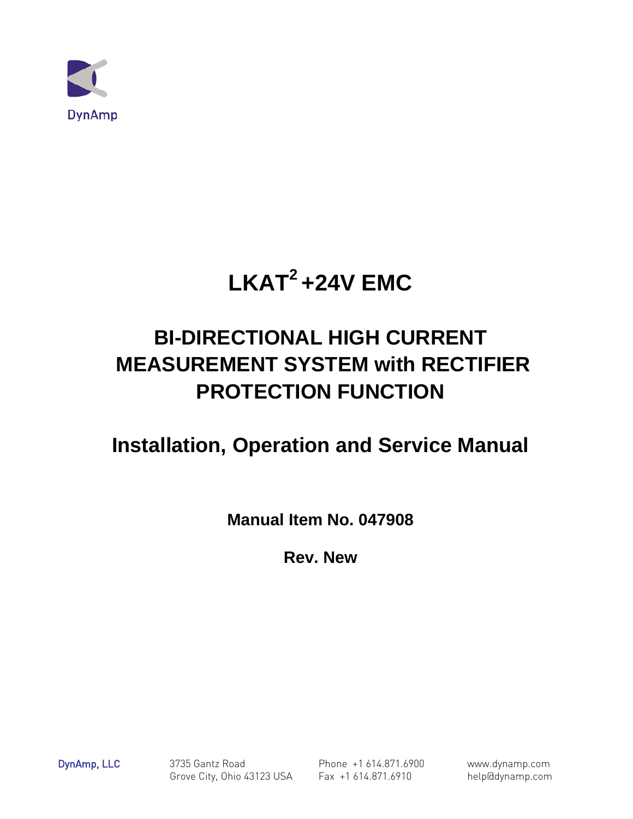

# **LKAT2 +24V EMC**

## **BI-DIRECTIONAL HIGH CURRENT MEASUREMENT SYSTEM with RECTIFIER PROTECTION FUNCTION**

## **Installation, Operation and Service Manual**

**Manual Item No. 047908**

**Rev. New**

DynAmp, LLC 3735 Gantz Road Phone +1 614.871.6900 www.dynamp.com Grove City, Ohio 43123 USA Fax +1 614.871.6910 help@dynamp.com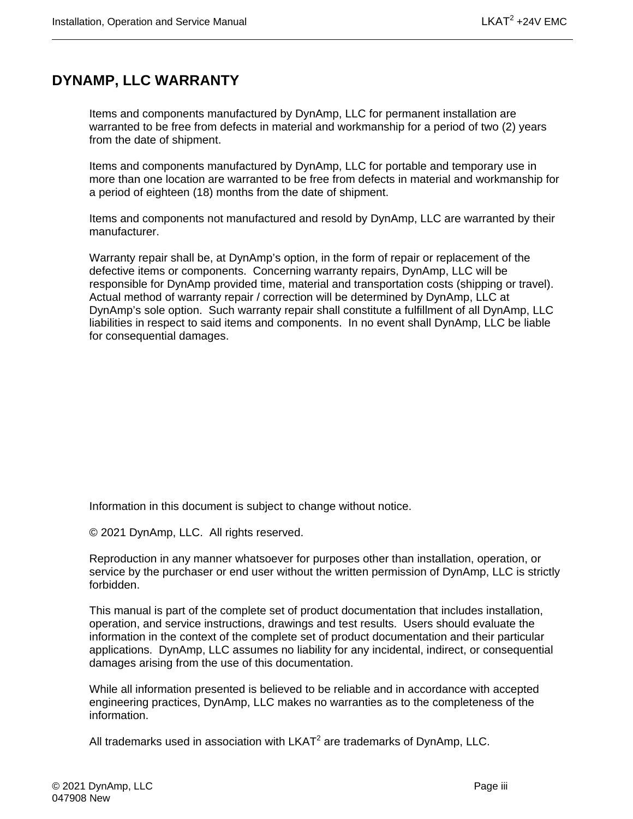## <span id="page-2-0"></span>**DYNAMP, LLC WARRANTY**

Items and components manufactured by DynAmp, LLC for permanent installation are warranted to be free from defects in material and workmanship for a period of two (2) years from the date of shipment.

Items and components manufactured by DynAmp, LLC for portable and temporary use in more than one location are warranted to be free from defects in material and workmanship for a period of eighteen (18) months from the date of shipment.

Items and components not manufactured and resold by DynAmp, LLC are warranted by their manufacturer.

Warranty repair shall be, at DynAmp's option, in the form of repair or replacement of the defective items or components. Concerning warranty repairs, DynAmp, LLC will be responsible for DynAmp provided time, material and transportation costs (shipping or travel). Actual method of warranty repair / correction will be determined by DynAmp, LLC at DynAmp's sole option. Such warranty repair shall constitute a fulfillment of all DynAmp, LLC liabilities in respect to said items and components. In no event shall DynAmp, LLC be liable for consequential damages.

Information in this document is subject to change without notice.

© 2021 DynAmp, LLC. All rights reserved.

Reproduction in any manner whatsoever for purposes other than installation, operation, or service by the purchaser or end user without the written permission of DynAmp, LLC is strictly forbidden.

This manual is part of the complete set of product documentation that includes installation, operation, and service instructions, drawings and test results. Users should evaluate the information in the context of the complete set of product documentation and their particular applications. DynAmp, LLC assumes no liability for any incidental, indirect, or consequential damages arising from the use of this documentation.

While all information presented is believed to be reliable and in accordance with accepted engineering practices, DynAmp, LLC makes no warranties as to the completeness of the information.

All trademarks used in association with  $LKAT<sup>2</sup>$  are trademarks of DynAmp, LLC.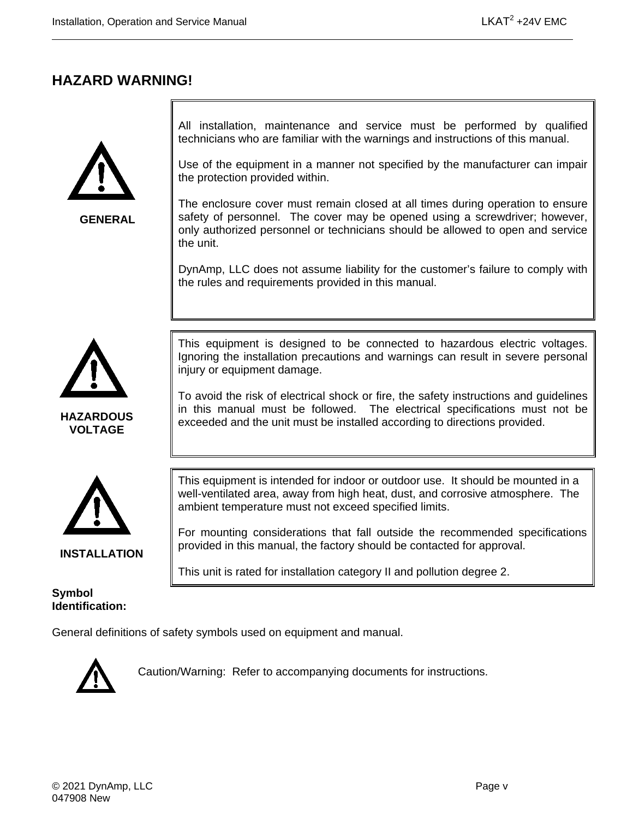### <span id="page-4-0"></span>**HAZARD WARNING!**



**GENERAL**

All installation, maintenance and service must be performed by qualified technicians who are familiar with the warnings and instructions of this manual.

Use of the equipment in a manner not specified by the manufacturer can impair the protection provided within.

The enclosure cover must remain closed at all times during operation to ensure safety of personnel. The cover may be opened using a screwdriver; however, only authorized personnel or technicians should be allowed to open and service the unit.

DynAmp, LLC does not assume liability for the customer's failure to comply with the rules and requirements provided in this manual.



**HAZARDOUS VOLTAGE**

This equipment is designed to be connected to hazardous electric voltages. Ignoring the installation precautions and warnings can result in severe personal injury or equipment damage.

To avoid the risk of electrical shock or fire, the safety instructions and guidelines in this manual must be followed. The electrical specifications must not be exceeded and the unit must be installed according to directions provided.



**INSTALLATION**

This equipment is intended for indoor or outdoor use. It should be mounted in a well-ventilated area, away from high heat, dust, and corrosive atmosphere. The ambient temperature must not exceed specified limits.

For mounting considerations that fall outside the recommended specifications provided in this manual, the factory should be contacted for approval.

This unit is rated for installation category II and pollution degree 2.

**Symbol Identification:**

General definitions of safety symbols used on equipment and manual.



Caution/Warning: Refer to accompanying documents for instructions.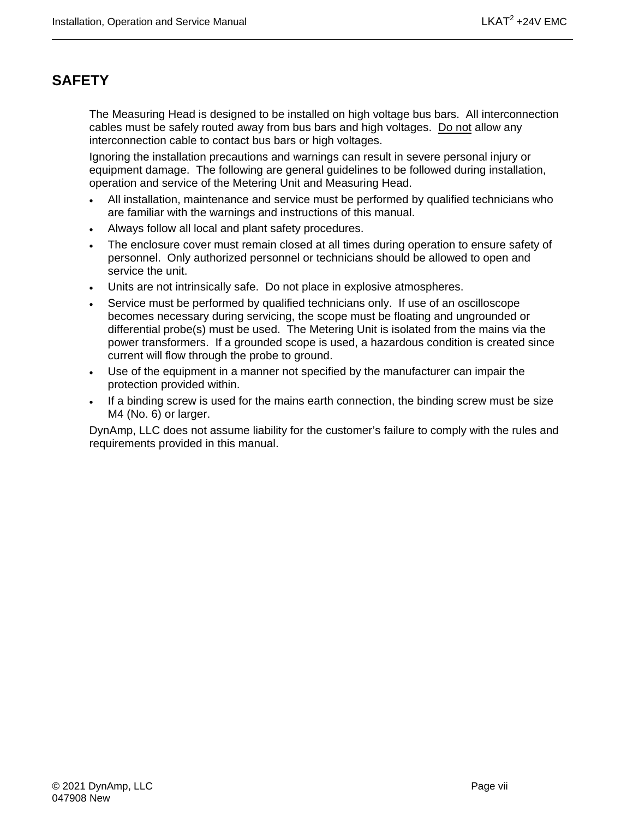### <span id="page-6-0"></span>**SAFETY**

The Measuring Head is designed to be installed on high voltage bus bars. All interconnection cables must be safely routed away from bus bars and high voltages. Do not allow any interconnection cable to contact bus bars or high voltages.

Ignoring the installation precautions and warnings can result in severe personal injury or equipment damage. The following are general guidelines to be followed during installation, operation and service of the Metering Unit and Measuring Head.

- All installation, maintenance and service must be performed by qualified technicians who are familiar with the warnings and instructions of this manual.
- Always follow all local and plant safety procedures.
- The enclosure cover must remain closed at all times during operation to ensure safety of personnel. Only authorized personnel or technicians should be allowed to open and service the unit.
- Units are not intrinsically safe. Do not place in explosive atmospheres.
- Service must be performed by qualified technicians only. If use of an oscilloscope becomes necessary during servicing, the scope must be floating and ungrounded or differential probe(s) must be used. The Metering Unit is isolated from the mains via the power transformers. If a grounded scope is used, a hazardous condition is created since current will flow through the probe to ground.
- Use of the equipment in a manner not specified by the manufacturer can impair the protection provided within.
- If a binding screw is used for the mains earth connection, the binding screw must be size M4 (No. 6) or larger.

DynAmp, LLC does not assume liability for the customer's failure to comply with the rules and requirements provided in this manual.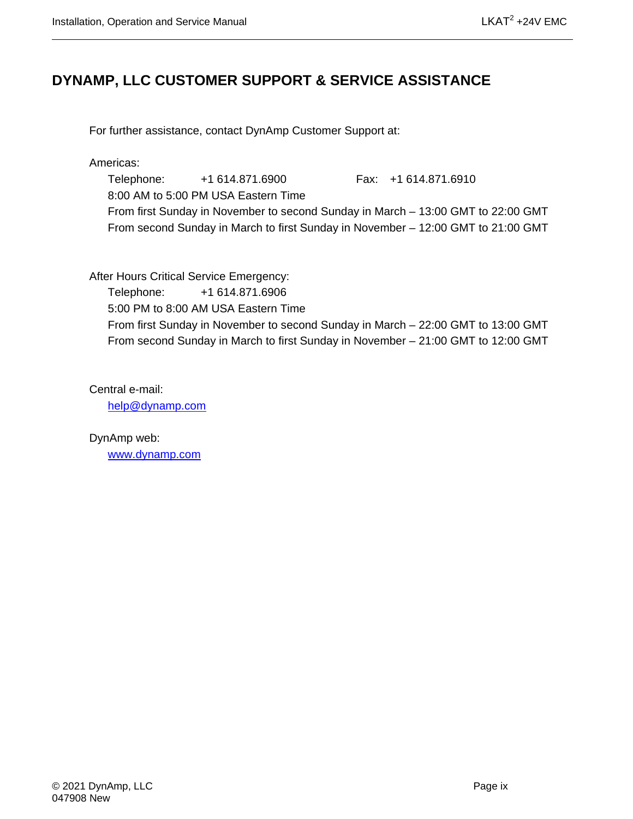### <span id="page-8-0"></span>**DYNAMP, LLC CUSTOMER SUPPORT & SERVICE ASSISTANCE**

For further assistance, contact DynAmp Customer Support at:

Americas:

Telephone: +1 614.871.6900 Fax: +1 614.871.6910 8:00 AM to 5:00 PM USA Eastern Time From first Sunday in November to second Sunday in March – 13:00 GMT to 22:00 GMT From second Sunday in March to first Sunday in November – 12:00 GMT to 21:00 GMT

After Hours Critical Service Emergency:

Telephone: +1 614.871.6906 5:00 PM to 8:00 AM USA Eastern Time From first Sunday in November to second Sunday in March – 22:00 GMT to 13:00 GMT From second Sunday in March to first Sunday in November – 21:00 GMT to 12:00 GMT

Central e-mail:

[help@dynamp.com](mailto:help@dynamp.com)

DynAmp web: [www.dynamp.com](http://www.dynamp.com/)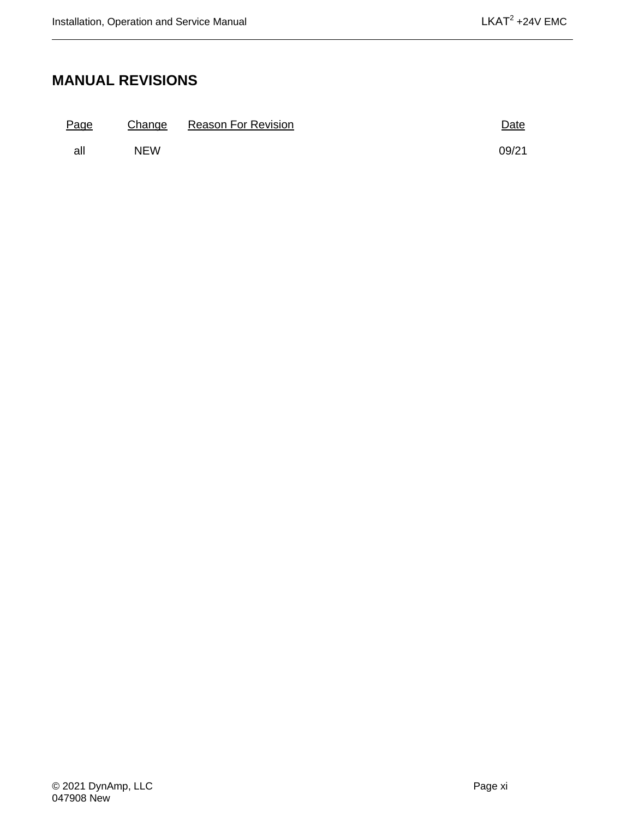## <span id="page-10-0"></span>**MANUAL REVISIONS**

| Page |            | Change Reason For Revision | Date  |
|------|------------|----------------------------|-------|
| all  | <b>NFW</b> |                            | 09/21 |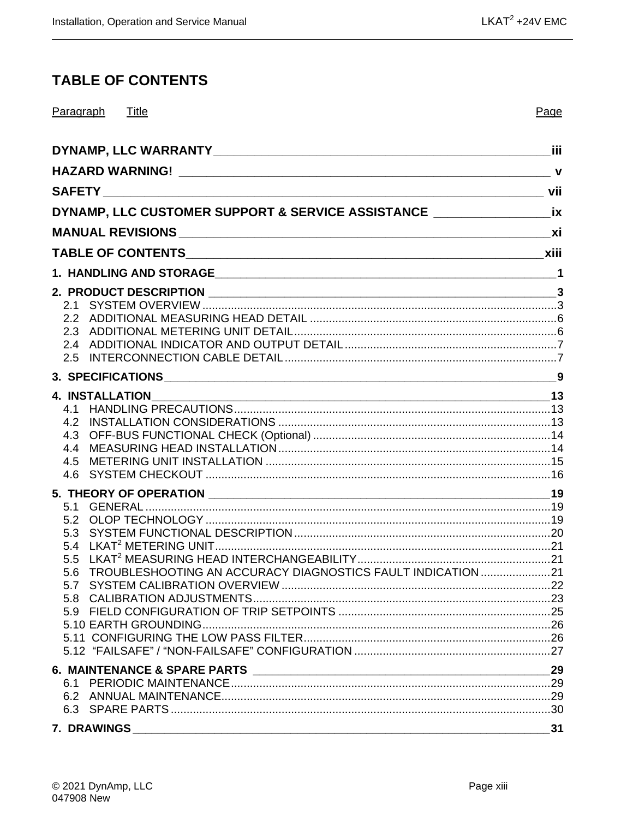## <span id="page-12-0"></span>**TABLE OF CONTENTS**

| Paragraph Title                                                                   | Page |
|-----------------------------------------------------------------------------------|------|
|                                                                                   |      |
|                                                                                   |      |
|                                                                                   |      |
| DYNAMP, LLC CUSTOMER SUPPORT & SERVICE ASSISTANCE _______________________________ |      |
|                                                                                   |      |
|                                                                                   |      |
|                                                                                   |      |
| 2.1                                                                               |      |
| 2.5                                                                               |      |
|                                                                                   |      |
|                                                                                   |      |
| 4.3<br>4.4<br>4.5<br>4.6                                                          |      |
|                                                                                   |      |
| 5.1<br>5.2<br>5.3                                                                 |      |
| 5.6 TROUBLESHOOTING AN ACCURACY DIAGNOSTICS FAULT INDICATION 21                   |      |
| 5.7                                                                               |      |
| 5.8                                                                               |      |
|                                                                                   |      |
|                                                                                   |      |
|                                                                                   |      |
|                                                                                   | 29   |
|                                                                                   |      |
|                                                                                   |      |
| <b>7. DRAWINGS</b>                                                                | 31   |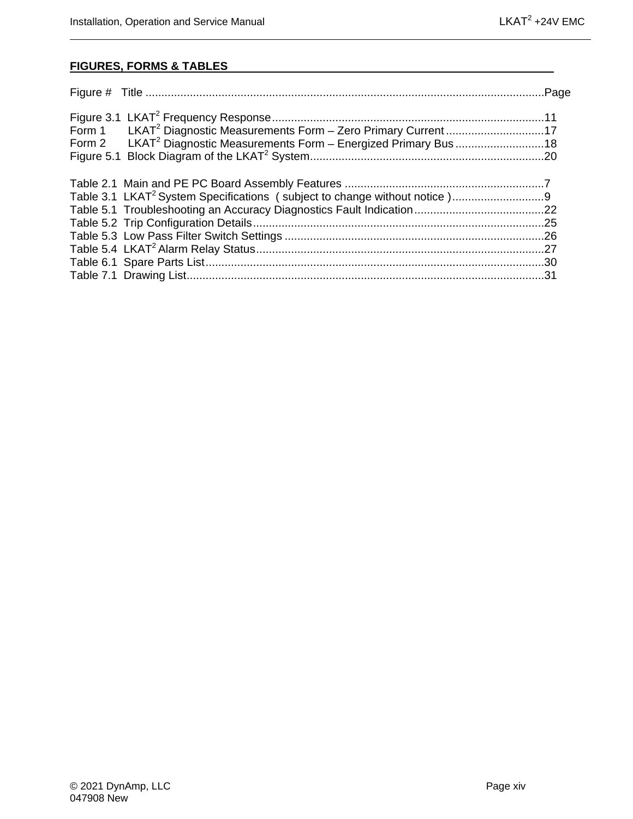#### **FIGURES, FORMS & TABLES**

| Form 1 LKAT <sup>2</sup> Diagnostic Measurements Form - Zero Primary Current17   |  |
|----------------------------------------------------------------------------------|--|
| Form 2 LKAT <sup>2</sup> Diagnostic Measurements Form - Energized Primary Bus 18 |  |
|                                                                                  |  |
|                                                                                  |  |
|                                                                                  |  |
|                                                                                  |  |
|                                                                                  |  |
|                                                                                  |  |
|                                                                                  |  |
|                                                                                  |  |
|                                                                                  |  |
|                                                                                  |  |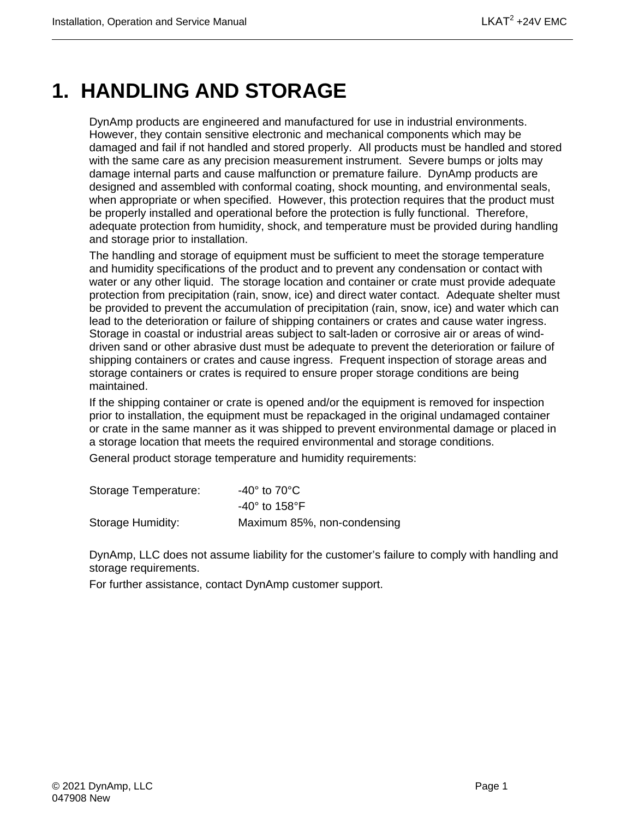## <span id="page-14-0"></span>**1. HANDLING AND STORAGE**

DynAmp products are engineered and manufactured for use in industrial environments. However, they contain sensitive electronic and mechanical components which may be damaged and fail if not handled and stored properly. All products must be handled and stored with the same care as any precision measurement instrument. Severe bumps or jolts may damage internal parts and cause malfunction or premature failure. DynAmp products are designed and assembled with conformal coating, shock mounting, and environmental seals, when appropriate or when specified. However, this protection requires that the product must be properly installed and operational before the protection is fully functional. Therefore, adequate protection from humidity, shock, and temperature must be provided during handling and storage prior to installation.

The handling and storage of equipment must be sufficient to meet the storage temperature and humidity specifications of the product and to prevent any condensation or contact with water or any other liquid. The storage location and container or crate must provide adequate protection from precipitation (rain, snow, ice) and direct water contact. Adequate shelter must be provided to prevent the accumulation of precipitation (rain, snow, ice) and water which can lead to the deterioration or failure of shipping containers or crates and cause water ingress. Storage in coastal or industrial areas subject to salt-laden or corrosive air or areas of winddriven sand or other abrasive dust must be adequate to prevent the deterioration or failure of shipping containers or crates and cause ingress. Frequent inspection of storage areas and storage containers or crates is required to ensure proper storage conditions are being maintained.

If the shipping container or crate is opened and/or the equipment is removed for inspection prior to installation, the equipment must be repackaged in the original undamaged container or crate in the same manner as it was shipped to prevent environmental damage or placed in a storage location that meets the required environmental and storage conditions.

General product storage temperature and humidity requirements:

| Storage Temperature: | -40 $^{\circ}$ to 70 $^{\circ}$ C $^{\circ}$ |
|----------------------|----------------------------------------------|
|                      | -40 $^{\circ}$ to 158 $^{\circ}$ F           |
| Storage Humidity:    | Maximum 85%, non-condensing                  |

DynAmp, LLC does not assume liability for the customer's failure to comply with handling and storage requirements.

For further assistance, contact DynAmp customer support.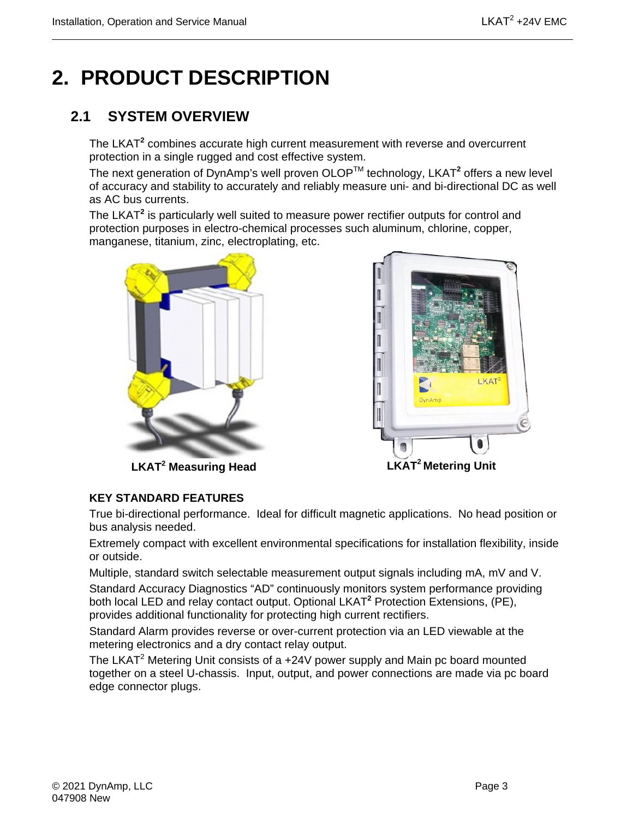## <span id="page-16-0"></span>**2. PRODUCT DESCRIPTION**

## <span id="page-16-1"></span>**2.1 SYSTEM OVERVIEW**

The LKAT**<sup>2</sup>** combines accurate high current measurement with reverse and overcurrent protection in a single rugged and cost effective system.

The next generation of DynAmp's well proven OLOPTM technology, LKAT**<sup>2</sup>** offers a new level of accuracy and stability to accurately and reliably measure uni- and bi-directional DC as well as AC bus currents.

The LKAT**<sup>2</sup>** is particularly well suited to measure power rectifier outputs for control and protection purposes in electro-chemical processes such aluminum, chlorine, copper, manganese, titanium, zinc, electroplating, etc.





**LKAT<sup>2</sup> Measuring Head**

#### **KEY STANDARD FEATURES**

True bi-directional performance. Ideal for difficult magnetic applications. No head position or bus analysis needed.

Extremely compact with excellent environmental specifications for installation flexibility, inside or outside.

Multiple, standard switch selectable measurement output signals including mA, mV and V. Standard Accuracy Diagnostics "AD" continuously monitors system performance providing both local LED and relay contact output. Optional LKAT**<sup>2</sup>** Protection Extensions, (PE), provides additional functionality for protecting high current rectifiers.

Standard Alarm provides reverse or over-current protection via an LED viewable at the metering electronics and a dry contact relay output.

The LKAT<sup>2</sup> Metering Unit consists of a +24V power supply and Main pc board mounted together on a steel U-chassis. Input, output, and power connections are made via pc board edge connector plugs.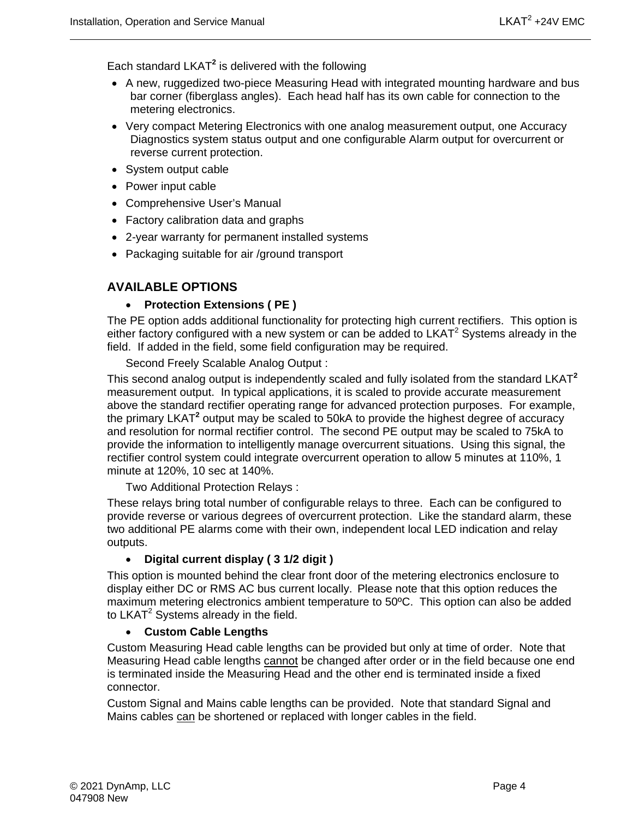Each standard LKAT**<sup>2</sup>** is delivered with the following

- A new, ruggedized two-piece Measuring Head with integrated mounting hardware and bus bar corner (fiberglass angles). Each head half has its own cable for connection to the metering electronics.
- Very compact Metering Electronics with one analog measurement output, one Accuracy Diagnostics system status output and one configurable Alarm output for overcurrent or reverse current protection.
- System output cable
- Power input cable
- Comprehensive User's Manual
- Factory calibration data and graphs
- 2-year warranty for permanent installed systems
- Packaging suitable for air /ground transport

#### **AVAILABLE OPTIONS**

#### • **Protection Extensions ( PE )**

The PE option adds additional functionality for protecting high current rectifiers. This option is either factory configured with a new system or can be added to  $LKAT<sup>2</sup>$  Systems already in the field. If added in the field, some field configuration may be required.

Second Freely Scalable Analog Output :

This second analog output is independently scaled and fully isolated from the standard LKAT**<sup>2</sup>** measurement output. In typical applications, it is scaled to provide accurate measurement above the standard rectifier operating range for advanced protection purposes. For example, the primary LKAT**<sup>2</sup>** output may be scaled to 50kA to provide the highest degree of accuracy and resolution for normal rectifier control. The second PE output may be scaled to 75kA to provide the information to intelligently manage overcurrent situations. Using this signal, the rectifier control system could integrate overcurrent operation to allow 5 minutes at 110%, 1 minute at 120%, 10 sec at 140%.

Two Additional Protection Relays :

These relays bring total number of configurable relays to three. Each can be configured to provide reverse or various degrees of overcurrent protection. Like the standard alarm, these two additional PE alarms come with their own, independent local LED indication and relay outputs.

#### • **Digital current display ( 3 1/2 digit )**

This option is mounted behind the clear front door of the metering electronics enclosure to display either DC or RMS AC bus current locally. Please note that this option reduces the maximum metering electronics ambient temperature to 50ºC. This option can also be added to  $LKAT^2$  Systems already in the field.

#### • **Custom Cable Lengths**

Custom Measuring Head cable lengths can be provided but only at time of order. Note that Measuring Head cable lengths cannot be changed after order or in the field because one end is terminated inside the Measuring Head and the other end is terminated inside a fixed connector.

Custom Signal and Mains cable lengths can be provided. Note that standard Signal and Mains cables can be shortened or replaced with longer cables in the field.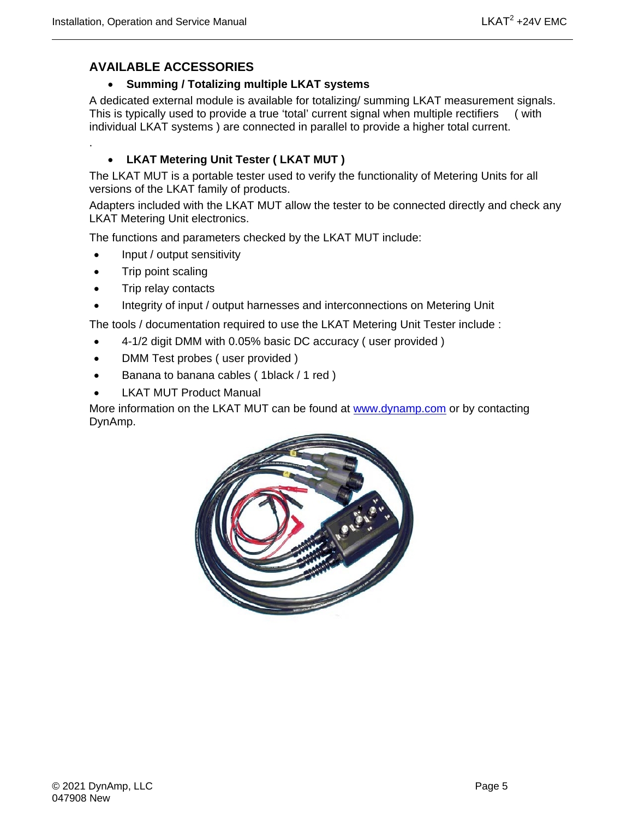.

#### **AVAILABLE ACCESSORIES**

#### • **Summing / Totalizing multiple LKAT systems**

A dedicated external module is available for totalizing/ summing LKAT measurement signals. This is typically used to provide a true 'total' current signal when multiple rectifiers ( with individual LKAT systems ) are connected in parallel to provide a higher total current.

#### • **LKAT Metering Unit Tester ( LKAT MUT )**

The LKAT MUT is a portable tester used to verify the functionality of Metering Units for all versions of the LKAT family of products.

Adapters included with the LKAT MUT allow the tester to be connected directly and check any LKAT Metering Unit electronics.

The functions and parameters checked by the LKAT MUT include:

- Input / output sensitivity
- Trip point scaling
- Trip relay contacts
- Integrity of input / output harnesses and interconnections on Metering Unit

The tools / documentation required to use the LKAT Metering Unit Tester include :

- 4-1/2 digit DMM with 0.05% basic DC accuracy ( user provided )
- DMM Test probes ( user provided )
- Banana to banana cables ( 1black / 1 red )
- **LKAT MUT Product Manual**

More information on the LKAT MUT can be found at [www.dynamp.com](http://www.dynamp.com/) or by contacting DynAmp.

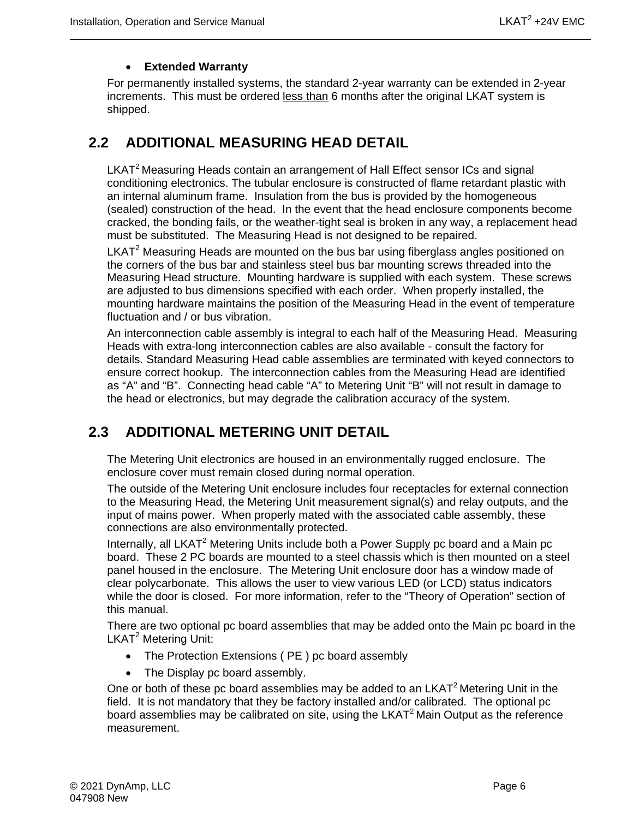#### • **Extended Warranty**

For permanently installed systems, the standard 2-year warranty can be extended in 2-year increments. This must be ordered less than 6 months after the original LKAT system is shipped.

### <span id="page-19-0"></span>**2.2 ADDITIONAL MEASURING HEAD DETAIL**

LKAT<sup>2</sup> Measuring Heads contain an arrangement of Hall Effect sensor ICs and signal conditioning electronics. The tubular enclosure is constructed of flame retardant plastic with an internal aluminum frame. Insulation from the bus is provided by the homogeneous (sealed) construction of the head. In the event that the head enclosure components become cracked, the bonding fails, or the weather-tight seal is broken in any way, a replacement head must be substituted. The Measuring Head is not designed to be repaired.

 $LKAT<sup>2</sup>$  Measuring Heads are mounted on the bus bar using fiberglass angles positioned on the corners of the bus bar and stainless steel bus bar mounting screws threaded into the Measuring Head structure. Mounting hardware is supplied with each system. These screws are adjusted to bus dimensions specified with each order. When properly installed, the mounting hardware maintains the position of the Measuring Head in the event of temperature fluctuation and / or bus vibration.

An interconnection cable assembly is integral to each half of the Measuring Head. Measuring Heads with extra-long interconnection cables are also available - consult the factory for details. Standard Measuring Head cable assemblies are terminated with keyed connectors to ensure correct hookup. The interconnection cables from the Measuring Head are identified as "A" and "B". Connecting head cable "A" to Metering Unit "B" will not result in damage to the head or electronics, but may degrade the calibration accuracy of the system.

### <span id="page-19-1"></span>**2.3 ADDITIONAL METERING UNIT DETAIL**

The Metering Unit electronics are housed in an environmentally rugged enclosure. The enclosure cover must remain closed during normal operation.

The outside of the Metering Unit enclosure includes four receptacles for external connection to the Measuring Head, the Metering Unit measurement signal(s) and relay outputs, and the input of mains power. When properly mated with the associated cable assembly, these connections are also environmentally protected.

Internally, all LKAT<sup>2</sup> Metering Units include both a Power Supply pc board and a Main pc board. These 2 PC boards are mounted to a steel chassis which is then mounted on a steel panel housed in the enclosure. The Metering Unit enclosure door has a window made of clear polycarbonate. This allows the user to view various LED (or LCD) status indicators while the door is closed. For more information, refer to the "Theory of Operation" section of this manual.

There are two optional pc board assemblies that may be added onto the Main pc board in the LKAT<sup>2</sup> Metering Unit:

- The Protection Extensions (PE) pc board assembly
- The Display pc board assembly.

One or both of these pc board assemblies may be added to an  $LKAT<sup>2</sup>$  Metering Unit in the field. It is not mandatory that they be factory installed and/or calibrated. The optional pc board assemblies may be calibrated on site, using the LKAT<sup>2</sup> Main Output as the reference measurement.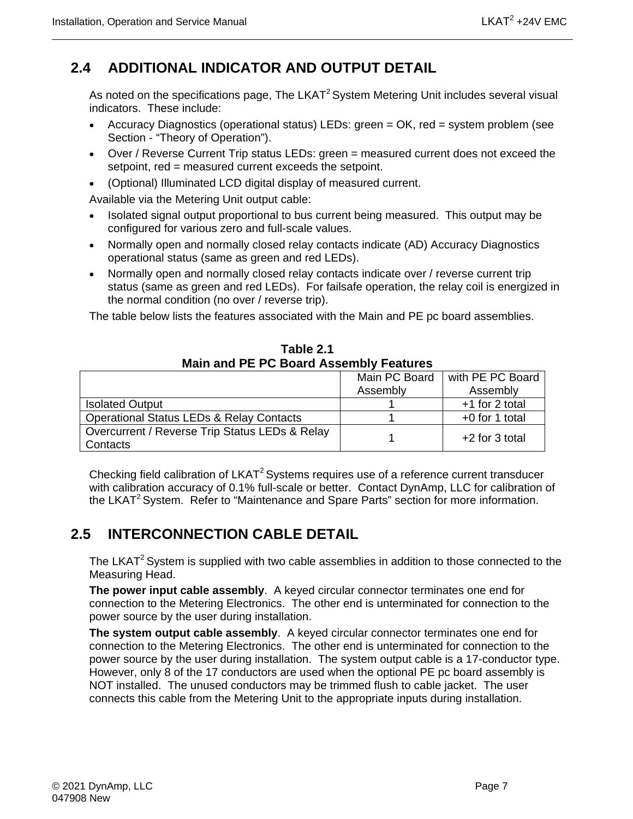## <span id="page-20-0"></span>**2.4 ADDITIONAL INDICATOR AND OUTPUT DETAIL**

As noted on the specifications page, The LKAT<sup>2</sup> System Metering Unit includes several visual indicators. These include:

- Accuracy Diagnostics (operational status) LEDs: green = OK, red = system problem (see Section - "Theory of Operation").
- Over / Reverse Current Trip status LEDs: green = measured current does not exceed the setpoint, red = measured current exceeds the setpoint.
- (Optional) Illuminated LCD digital display of measured current.

Available via the Metering Unit output cable:

- Isolated signal output proportional to bus current being measured. This output may be configured for various zero and full-scale values.
- Normally open and normally closed relay contacts indicate (AD) Accuracy Diagnostics operational status (same as green and red LEDs).
- Normally open and normally closed relay contacts indicate over / reverse current trip status (same as green and red LEDs). For failsafe operation, the relay coil is energized in the normal condition (no over / reverse trip).

The table below lists the features associated with the Main and PE pc board assemblies.

<span id="page-20-2"></span>

|                                                            | Main PC Board | with PE PC Board |  |  |  |  |
|------------------------------------------------------------|---------------|------------------|--|--|--|--|
|                                                            | Assembly      | Assembly         |  |  |  |  |
| <b>Isolated Output</b>                                     |               | +1 for 2 total   |  |  |  |  |
| <b>Operational Status LEDs &amp; Relay Contacts</b>        |               | $+0$ for 1 total |  |  |  |  |
| Overcurrent / Reverse Trip Status LEDs & Relay<br>Contacts |               | $+2$ for 3 total |  |  |  |  |

**Table 2.1 Main and PE PC Board Assembly Features**

Checking field calibration of LKAT<sup>2</sup> Systems requires use of a reference current transducer with calibration accuracy of 0.1% full-scale or better. Contact DynAmp, LLC for calibration of the LKAT<sup>2</sup> System. Refer to "Maintenance and Spare Parts" section for more information.

## <span id="page-20-1"></span>**2.5 INTERCONNECTION CABLE DETAIL**

The LKAT<sup>2</sup> System is supplied with two cable assemblies in addition to those connected to the Measuring Head.

**The power input cable assembly**. A keyed circular connector terminates one end for connection to the Metering Electronics. The other end is unterminated for connection to the power source by the user during installation.

**The system output cable assembly**. A keyed circular connector terminates one end for connection to the Metering Electronics. The other end is unterminated for connection to the power source by the user during installation. The system output cable is a 17-conductor type. However, only 8 of the 17 conductors are used when the optional PE pc board assembly is NOT installed. The unused conductors may be trimmed flush to cable jacket. The user connects this cable from the Metering Unit to the appropriate inputs during installation.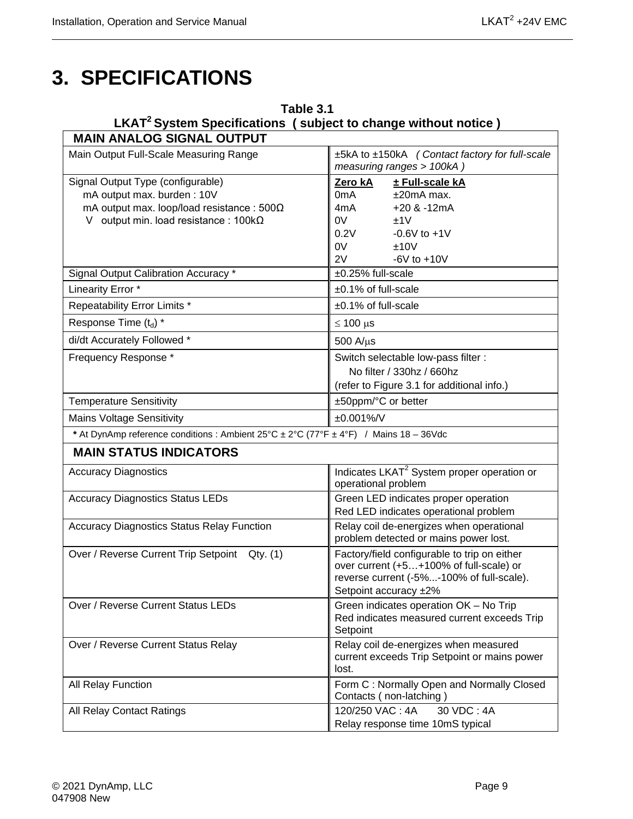## <span id="page-22-0"></span>**3. SPECIFICATIONS**

<span id="page-22-1"></span>

| Table 3.1<br>LKAT <sup>2</sup> System Specifications (subject to change without notice)                                                                             |                                                                                                                                                                           |  |  |
|---------------------------------------------------------------------------------------------------------------------------------------------------------------------|---------------------------------------------------------------------------------------------------------------------------------------------------------------------------|--|--|
| <b>MAIN ANALOG SIGNAL OUTPUT</b>                                                                                                                                    |                                                                                                                                                                           |  |  |
| Main Output Full-Scale Measuring Range                                                                                                                              | ±5kA to ±150kA (Contact factory for full-scale<br>measuring ranges > 100kA)                                                                                               |  |  |
| Signal Output Type (configurable)<br>mA output max. burden: 10V<br>mA output max. loop/load resistance : $500\Omega$<br>V output min. load resistance: $100k\Omega$ | Zero kA<br>± Full-scale kA<br>0 <sub>m</sub> A<br>$±20mA$ max.<br>$+20$ & $-12$ mA<br>4mA<br>0V<br>±1V<br>0.2V<br>$-0.6V$ to $+1V$<br>0V<br>±10V<br>2V<br>$-6V$ to $+10V$ |  |  |
| Signal Output Calibration Accuracy *                                                                                                                                | ±0.25% full-scale                                                                                                                                                         |  |  |
| Linearity Error *                                                                                                                                                   | ±0.1% of full-scale                                                                                                                                                       |  |  |
| Repeatability Error Limits *                                                                                                                                        | $±0.1\%$ of full-scale                                                                                                                                                    |  |  |
| Response Time (t <sub>d</sub> ) *                                                                                                                                   | $\leq 100 \,\mu s$                                                                                                                                                        |  |  |
| di/dt Accurately Followed *                                                                                                                                         | $500$ A/ $\mu$ s                                                                                                                                                          |  |  |
| Frequency Response*                                                                                                                                                 | Switch selectable low-pass filter :<br>No filter / 330hz / 660hz<br>(refer to Figure 3.1 for additional info.)                                                            |  |  |
| <b>Temperature Sensitivity</b>                                                                                                                                      | ±50ppm/°C or better                                                                                                                                                       |  |  |
| <b>Mains Voltage Sensitivity</b>                                                                                                                                    | ±0.001%/V                                                                                                                                                                 |  |  |
| * At DynAmp reference conditions : Ambient 25°C ± 2°C (77°F ± 4°F) / Mains 18 - 36Vdc                                                                               |                                                                                                                                                                           |  |  |
| <b>MAIN STATUS INDICATORS</b>                                                                                                                                       |                                                                                                                                                                           |  |  |
| <b>Accuracy Diagnostics</b>                                                                                                                                         | Indicates LKAT <sup>2</sup> System proper operation or<br>operational problem                                                                                             |  |  |
| <b>Accuracy Diagnostics Status LEDs</b>                                                                                                                             | Green LED indicates proper operation<br>Red LED indicates operational problem                                                                                             |  |  |
| <b>Accuracy Diagnostics Status Relay Function</b>                                                                                                                   | Relay coil de-energizes when operational<br>problem detected or mains power lost.                                                                                         |  |  |
| Over / Reverse Current Trip Setpoint Qty. (1)                                                                                                                       | Factory/field configurable to trip on either<br>over current (+5+100% of full-scale) or<br>reverse current (-5%-100% of full-scale).<br>Setpoint accuracy ±2%             |  |  |
| Over / Reverse Current Status LEDs                                                                                                                                  | Green indicates operation OK - No Trip<br>Red indicates measured current exceeds Trip<br>Setpoint                                                                         |  |  |
| Over / Reverse Current Status Relay                                                                                                                                 | Relay coil de-energizes when measured<br>current exceeds Trip Setpoint or mains power<br>lost.                                                                            |  |  |
| All Relay Function                                                                                                                                                  | Form C: Normally Open and Normally Closed<br>Contacts (non-latching)                                                                                                      |  |  |
| All Relay Contact Ratings                                                                                                                                           | 120/250 VAC: 4A<br>30 VDC: 4A<br>Relay response time 10mS typical                                                                                                         |  |  |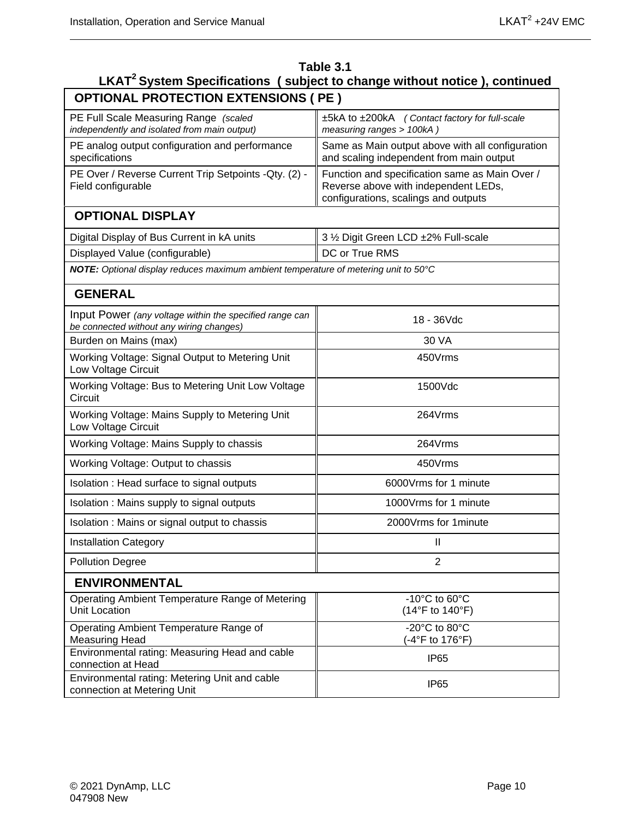| Table 3.1<br>LKAT <sup>2</sup> System Specifications (subject to change without notice), continued  |                                                                                                                                |  |  |  |  |  |
|-----------------------------------------------------------------------------------------------------|--------------------------------------------------------------------------------------------------------------------------------|--|--|--|--|--|
| <b>OPTIONAL PROTECTION EXTENSIONS ( PE )</b>                                                        |                                                                                                                                |  |  |  |  |  |
| PE Full Scale Measuring Range (scaled<br>independently and isolated from main output)               | ±5kA to ±200kA (Contact factory for full-scale<br>measuring ranges > 100kA)                                                    |  |  |  |  |  |
| PE analog output configuration and performance<br>specifications                                    | Same as Main output above with all configuration<br>and scaling independent from main output                                   |  |  |  |  |  |
| PE Over / Reverse Current Trip Setpoints - Qty. (2) -<br>Field configurable                         | Function and specification same as Main Over /<br>Reverse above with independent LEDs,<br>configurations, scalings and outputs |  |  |  |  |  |
| <b>OPTIONAL DISPLAY</b>                                                                             |                                                                                                                                |  |  |  |  |  |
| Digital Display of Bus Current in kA units                                                          | 3 1/2 Digit Green LCD ±2% Full-scale                                                                                           |  |  |  |  |  |
| Displayed Value (configurable)                                                                      | DC or True RMS                                                                                                                 |  |  |  |  |  |
| NOTE: Optional display reduces maximum ambient temperature of metering unit to 50°C                 |                                                                                                                                |  |  |  |  |  |
| <b>GENERAL</b>                                                                                      |                                                                                                                                |  |  |  |  |  |
| Input Power (any voltage within the specified range can<br>be connected without any wiring changes) | 18 - 36Vdc                                                                                                                     |  |  |  |  |  |
| Burden on Mains (max)                                                                               | 30 VA                                                                                                                          |  |  |  |  |  |
| Working Voltage: Signal Output to Metering Unit<br>Low Voltage Circuit                              | 450Vrms                                                                                                                        |  |  |  |  |  |
| Working Voltage: Bus to Metering Unit Low Voltage<br>Circuit                                        | 1500Vdc                                                                                                                        |  |  |  |  |  |
| Working Voltage: Mains Supply to Metering Unit<br>Low Voltage Circuit                               | 264Vrms                                                                                                                        |  |  |  |  |  |
| Working Voltage: Mains Supply to chassis                                                            | 264Vrms                                                                                                                        |  |  |  |  |  |
| Working Voltage: Output to chassis                                                                  | 450Vrms                                                                                                                        |  |  |  |  |  |
| Isolation: Head surface to signal outputs                                                           | 6000 Vrms for 1 minute                                                                                                         |  |  |  |  |  |
| Isolation: Mains supply to signal outputs                                                           | 1000Vrms for 1 minute                                                                                                          |  |  |  |  |  |
| Isolation : Mains or signal output to chassis                                                       | 2000Vrms for 1minute                                                                                                           |  |  |  |  |  |
| <b>Installation Category</b>                                                                        | $\mathbf{I}$                                                                                                                   |  |  |  |  |  |
| <b>Pollution Degree</b>                                                                             | $\overline{2}$                                                                                                                 |  |  |  |  |  |
| <b>ENVIRONMENTAL</b>                                                                                |                                                                                                                                |  |  |  |  |  |
| Operating Ambient Temperature Range of Metering<br>Unit Location                                    | $-10^{\circ}$ C to 60 $^{\circ}$ C<br>(14°F to 140°F)                                                                          |  |  |  |  |  |
| Operating Ambient Temperature Range of<br><b>Measuring Head</b>                                     | -20°C to 80°C<br>(-4°F to 176°F)                                                                                               |  |  |  |  |  |
| Environmental rating: Measuring Head and cable<br>connection at Head                                | IP <sub>65</sub>                                                                                                               |  |  |  |  |  |
| Environmental rating: Metering Unit and cable<br>connection at Metering Unit                        | IP <sub>65</sub>                                                                                                               |  |  |  |  |  |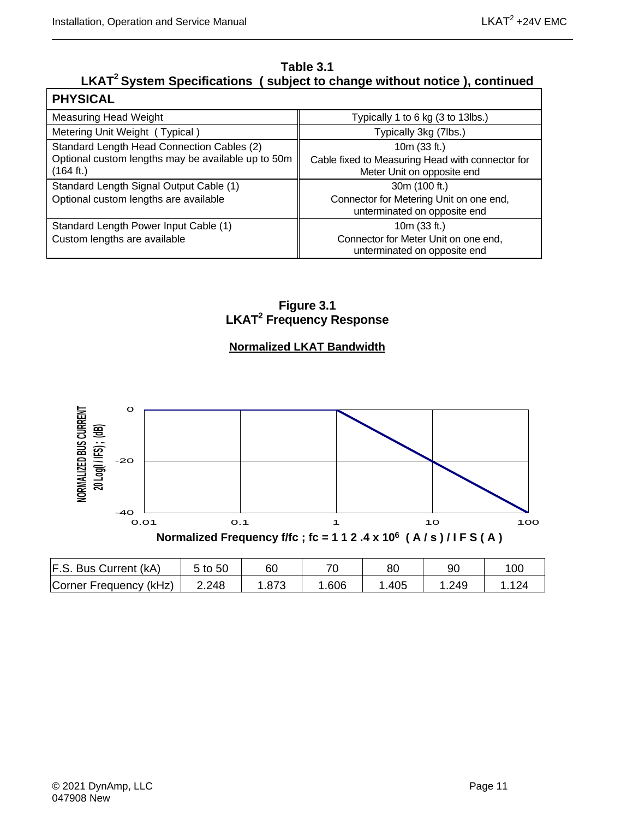#### **Table 3.1 LKAT2 System Specifications ( subject to change without notice ), continued**

| <b>PHYSICAL</b>                                                 |                                                                                |
|-----------------------------------------------------------------|--------------------------------------------------------------------------------|
| <b>Measuring Head Weight</b>                                    | Typically 1 to 6 kg (3 to 13lbs.)                                              |
| Metering Unit Weight (Typical)                                  | Typically 3kg (7lbs.)                                                          |
| Standard Length Head Connection Cables (2)                      | 10m (33 ft.)                                                                   |
| Optional custom lengths may be available up to 50m<br>(164 ft.) | Cable fixed to Measuring Head with connector for<br>Meter Unit on opposite end |
| Standard Length Signal Output Cable (1)                         | 30m (100 ft.)                                                                  |
| Optional custom lengths are available                           | Connector for Metering Unit on one end,<br>unterminated on opposite end        |
| Standard Length Power Input Cable (1)                           | 10m (33 ft.)                                                                   |
| Custom lengths are available                                    | Connector for Meter Unit on one end,<br>unterminated on opposite end           |

**Figure 3.1 LKAT2 Frequency Response**

#### **Normalized LKAT Bandwidth**

<span id="page-24-0"></span>

| F.S. Bus Current (kA)  | 5 to 50 | 60 |      | 80   | 90   | 10 <sub>C</sub> |
|------------------------|---------|----|------|------|------|-----------------|
| Corner Frequency (kHz) | 2.248   |    | .606 | .405 | .249 |                 |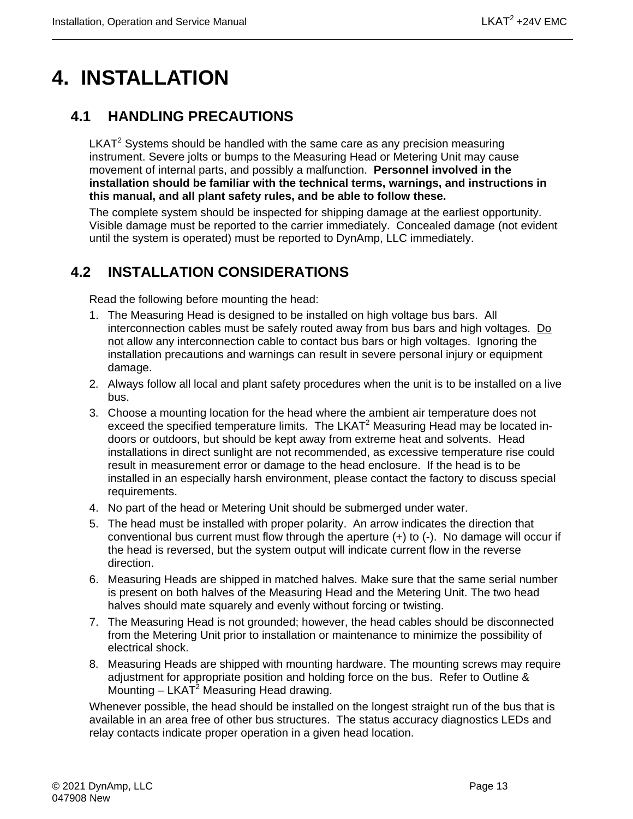## <span id="page-26-0"></span>**4. INSTALLATION**

### <span id="page-26-1"></span>**4.1 HANDLING PRECAUTIONS**

 $LKAT<sup>2</sup>$  Systems should be handled with the same care as any precision measuring instrument. Severe jolts or bumps to the Measuring Head or Metering Unit may cause movement of internal parts, and possibly a malfunction. **Personnel involved in the installation should be familiar with the technical terms, warnings, and instructions in this manual, and all plant safety rules, and be able to follow these.**

The complete system should be inspected for shipping damage at the earliest opportunity. Visible damage must be reported to the carrier immediately. Concealed damage (not evident until the system is operated) must be reported to DynAmp, LLC immediately.

## <span id="page-26-2"></span>**4.2 INSTALLATION CONSIDERATIONS**

Read the following before mounting the head:

- 1. The Measuring Head is designed to be installed on high voltage bus bars. All interconnection cables must be safely routed away from bus bars and high voltages. Do not allow any interconnection cable to contact bus bars or high voltages. Ignoring the installation precautions and warnings can result in severe personal injury or equipment damage.
- 2. Always follow all local and plant safety procedures when the unit is to be installed on a live bus.
- 3. Choose a mounting location for the head where the ambient air temperature does not exceed the specified temperature limits. The LKAT<sup>2</sup> Measuring Head may be located indoors or outdoors, but should be kept away from extreme heat and solvents. Head installations in direct sunlight are not recommended, as excessive temperature rise could result in measurement error or damage to the head enclosure. If the head is to be installed in an especially harsh environment, please contact the factory to discuss special requirements.
- 4. No part of the head or Metering Unit should be submerged under water.
- 5. The head must be installed with proper polarity. An arrow indicates the direction that conventional bus current must flow through the aperture (+) to (-). No damage will occur if the head is reversed, but the system output will indicate current flow in the reverse direction.
- 6. Measuring Heads are shipped in matched halves. Make sure that the same serial number is present on both halves of the Measuring Head and the Metering Unit. The two head halves should mate squarely and evenly without forcing or twisting.
- 7. The Measuring Head is not grounded; however, the head cables should be disconnected from the Metering Unit prior to installation or maintenance to minimize the possibility of electrical shock.
- 8. Measuring Heads are shipped with mounting hardware. The mounting screws may require adjustment for appropriate position and holding force on the bus. Refer to Outline & Mounting  $-$  LKAT<sup>2</sup> Measuring Head drawing.

Whenever possible, the head should be installed on the longest straight run of the bus that is available in an area free of other bus structures. The status accuracy diagnostics LEDs and relay contacts indicate proper operation in a given head location.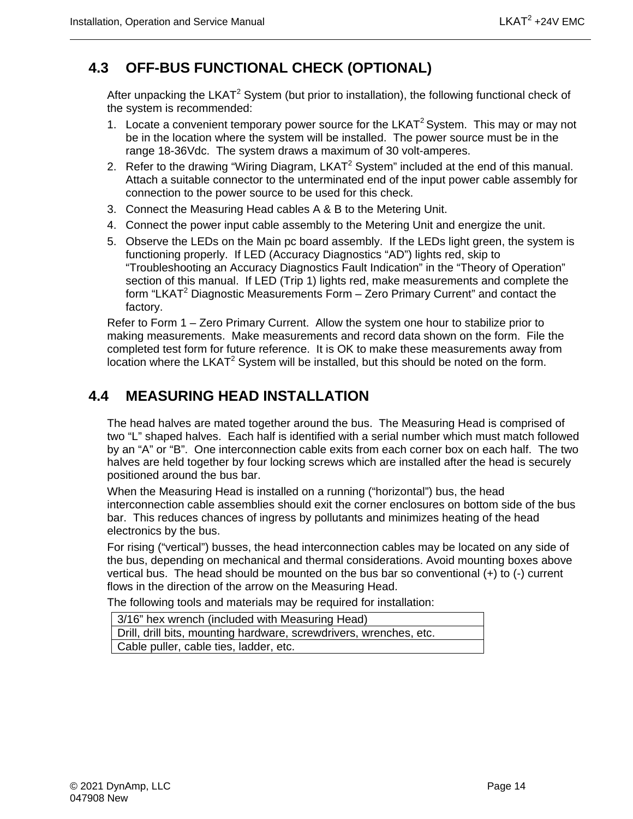## <span id="page-27-0"></span>**4.3 OFF-BUS FUNCTIONAL CHECK (OPTIONAL)**

After unpacking the LKAT<sup>2</sup> System (but prior to installation), the following functional check of the system is recommended:

- 1. Locate a convenient temporary power source for the LKAT<sup>2</sup> System. This may or may not be in the location where the system will be installed. The power source must be in the range 18-36Vdc. The system draws a maximum of 30 volt-amperes.
- 2. Refer to the drawing "Wiring Diagram,  $LKAT^2$  System" included at the end of this manual. Attach a suitable connector to the unterminated end of the input power cable assembly for connection to the power source to be used for this check.
- 3. Connect the Measuring Head cables A & B to the Metering Unit.
- 4. Connect the power input cable assembly to the Metering Unit and energize the unit.
- 5. Observe the LEDs on the Main pc board assembly. If the LEDs light green, the system is functioning properly. If LED (Accuracy Diagnostics "AD") lights red, skip to "Troubleshooting an Accuracy Diagnostics Fault Indication" in the "Theory of Operation" section of this manual. If LED (Trip 1) lights red, make measurements and complete the form "LKAT<sup>2</sup> Diagnostic Measurements Form  $-$  Zero Primary Current" and contact the factory.

Refer to Form 1 – Zero Primary Current. Allow the system one hour to stabilize prior to making measurements. Make measurements and record data shown on the form. File the completed test form for future reference. It is OK to make these measurements away from location where the LKAT<sup>2</sup> System will be installed, but this should be noted on the form.

### <span id="page-27-1"></span>**4.4 MEASURING HEAD INSTALLATION**

The head halves are mated together around the bus. The Measuring Head is comprised of two "L" shaped halves. Each half is identified with a serial number which must match followed by an "A" or "B". One interconnection cable exits from each corner box on each half. The two halves are held together by four locking screws which are installed after the head is securely positioned around the bus bar.

When the Measuring Head is installed on a running ("horizontal") bus, the head interconnection cable assemblies should exit the corner enclosures on bottom side of the bus bar. This reduces chances of ingress by pollutants and minimizes heating of the head electronics by the bus.

For rising ("vertical") busses, the head interconnection cables may be located on any side of the bus, depending on mechanical and thermal considerations. Avoid mounting boxes above vertical bus. The head should be mounted on the bus bar so conventional (+) to (-) current flows in the direction of the arrow on the Measuring Head.

The following tools and materials may be required for installation:

| 3/16" hex wrench (included with Measuring Head)                    |
|--------------------------------------------------------------------|
| Drill, drill bits, mounting hardware, screwdrivers, wrenches, etc. |
| Cable puller, cable ties, ladder, etc.                             |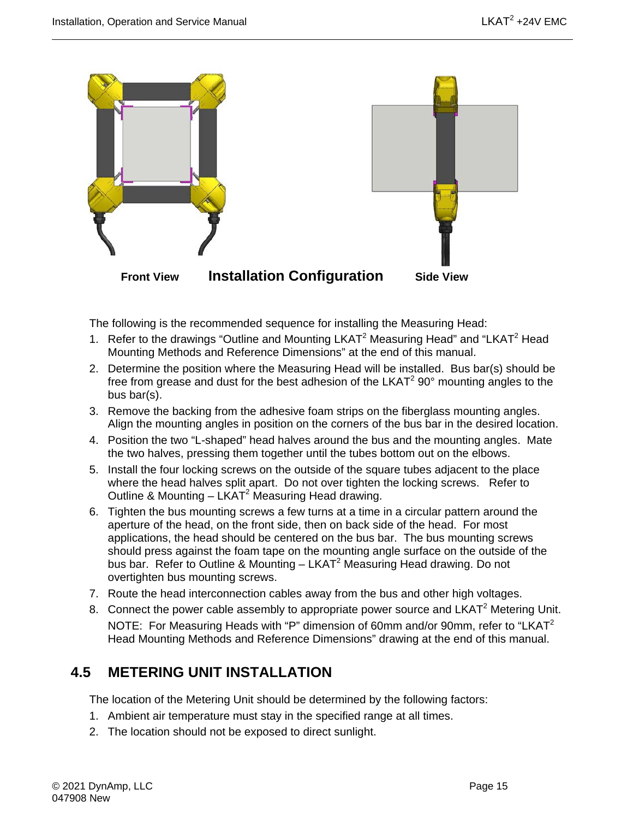

The following is the recommended sequence for installing the Measuring Head:

- 1. Refer to the drawings "Outline and Mounting LKAT<sup>2</sup> Measuring Head" and "LKAT<sup>2</sup> Head Mounting Methods and Reference Dimensions" at the end of this manual.
- 2. Determine the position where the Measuring Head will be installed. Bus bar(s) should be free from grease and dust for the best adhesion of the LKAT $2$  90 $^{\circ}$  mounting angles to the bus bar(s).
- 3. Remove the backing from the adhesive foam strips on the fiberglass mounting angles. Align the mounting angles in position on the corners of the bus bar in the desired location.
- 4. Position the two "L-shaped" head halves around the bus and the mounting angles. Mate the two halves, pressing them together until the tubes bottom out on the elbows.
- 5. Install the four locking screws on the outside of the square tubes adjacent to the place where the head halves split apart. Do not over tighten the locking screws. Refer to Outline & Mounting  $-$  LKAT<sup>2</sup> Measuring Head drawing.
- 6. Tighten the bus mounting screws a few turns at a time in a circular pattern around the aperture of the head, on the front side, then on back side of the head. For most applications, the head should be centered on the bus bar. The bus mounting screws should press against the foam tape on the mounting angle surface on the outside of the bus bar. Refer to Outline & Mounting – LKAT<sup>2</sup> Measuring Head drawing. Do not overtighten bus mounting screws.
- 7. Route the head interconnection cables away from the bus and other high voltages.
- 8. Connect the power cable assembly to appropriate power source and LKAT<sup>2</sup> Metering Unit. NOTE: For Measuring Heads with "P" dimension of 60mm and/or 90mm, refer to "LKAT $2$ Head Mounting Methods and Reference Dimensions" drawing at the end of this manual.

#### <span id="page-28-0"></span>**4.5 METERING UNIT INSTALLATION**

The location of the Metering Unit should be determined by the following factors:

- 1. Ambient air temperature must stay in the specified range at all times.
- 2. The location should not be exposed to direct sunlight.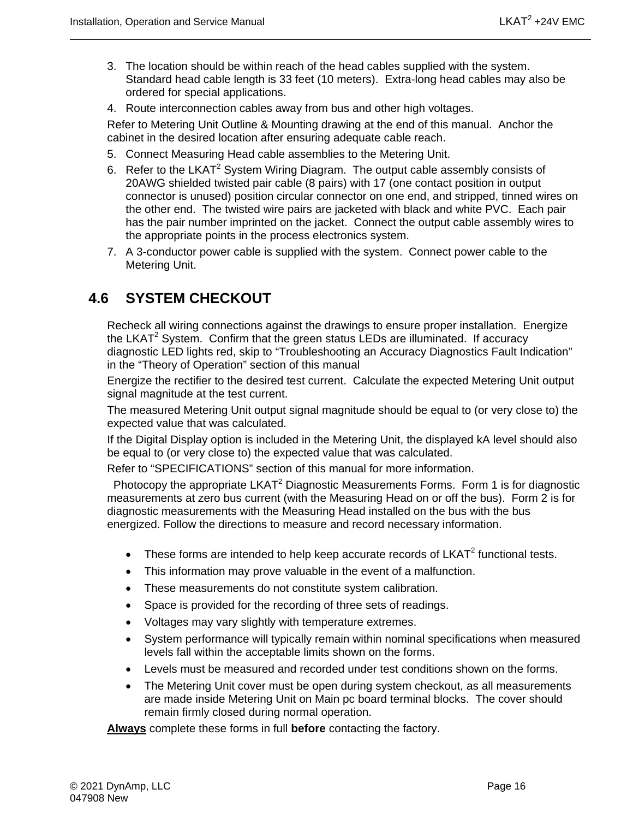- 3. The location should be within reach of the head cables supplied with the system. Standard head cable length is 33 feet (10 meters). Extra-long head cables may also be ordered for special applications.
- 4. Route interconnection cables away from bus and other high voltages.

Refer to Metering Unit Outline & Mounting drawing at the end of this manual. Anchor the cabinet in the desired location after ensuring adequate cable reach.

- 5. Connect Measuring Head cable assemblies to the Metering Unit.
- 6. Refer to the LKAT<sup>2</sup> System Wiring Diagram. The output cable assembly consists of 20AWG shielded twisted pair cable (8 pairs) with 17 (one contact position in output connector is unused) position circular connector on one end, and stripped, tinned wires on the other end. The twisted wire pairs are jacketed with black and white PVC. Each pair has the pair number imprinted on the jacket. Connect the output cable assembly wires to the appropriate points in the process electronics system.
- 7. A 3-conductor power cable is supplied with the system. Connect power cable to the Metering Unit.

#### <span id="page-29-0"></span>**4.6 SYSTEM CHECKOUT**

Recheck all wiring connections against the drawings to ensure proper installation. Energize the LKAT<sup>2</sup> System. Confirm that the green status LEDs are illuminated. If accuracy diagnostic LED lights red, skip to "Troubleshooting an Accuracy Diagnostics Fault Indication" in the "Theory of Operation" section of this manual

Energize the rectifier to the desired test current. Calculate the expected Metering Unit output signal magnitude at the test current.

The measured Metering Unit output signal magnitude should be equal to (or very close to) the expected value that was calculated.

If the Digital Display option is included in the Metering Unit, the displayed kA level should also be equal to (or very close to) the expected value that was calculated.

Refer to "SPECIFICATIONS" section of this manual for more information.

Photocopy the appropriate LKAT<sup>2</sup> Diagnostic Measurements Forms. Form 1 is for diagnostic measurements at zero bus current (with the Measuring Head on or off the bus). Form 2 is for diagnostic measurements with the Measuring Head installed on the bus with the bus energized. Follow the directions to measure and record necessary information.

- These forms are intended to help keep accurate records of  $LKAT^2$  functional tests.
- This information may prove valuable in the event of a malfunction.
- These measurements do not constitute system calibration.
- Space is provided for the recording of three sets of readings.
- Voltages may vary slightly with temperature extremes.
- System performance will typically remain within nominal specifications when measured levels fall within the acceptable limits shown on the forms.
- Levels must be measured and recorded under test conditions shown on the forms.
- The Metering Unit cover must be open during system checkout, as all measurements are made inside Metering Unit on Main pc board terminal blocks. The cover should remain firmly closed during normal operation.

**Always** complete these forms in full **before** contacting the factory.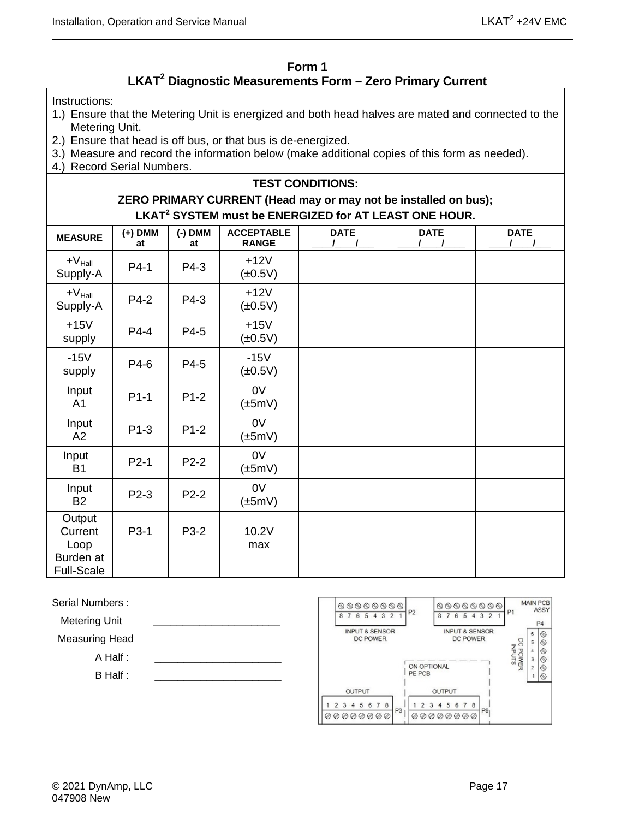#### **Form 1 LKAT2 Diagnostic Measurements Form – Zero Primary Current**

<span id="page-30-0"></span>Instructions:

- 1.) Ensure that the Metering Unit is energized and both head halves are mated and connected to the Metering Unit.
- 2.) Ensure that head is off bus, or that bus is de-energized.
- 3.) Measure and record the information below (make additional copies of this form as needed).
- 4.) Record Serial Numbers.

#### **ZERO PRIMARY CURRENT (Head may or may not be installed on bus); LKAT<sup>2</sup> SYSTEM must be ENERGIZED for AT LEAST ONE HOUR.**

**TEST CONDITIONS:**

| <b>MEASURE</b>                                              | $(+)$ DMM<br>at   | $(-)$ DMM<br>at | <b>ACCEPTABLE</b><br><b>RANGE</b> | <b>DATE</b> | <b>DATE</b> | <b>DATE</b> |
|-------------------------------------------------------------|-------------------|-----------------|-----------------------------------|-------------|-------------|-------------|
| $+V_{\text{Hall}}$<br>Supply-A                              | P4-1              | P4-3            | $+12V$<br>$(\pm 0.5V)$            |             |             |             |
| $+V_{\text{Hall}}$<br>Supply-A                              | P4-2              | P4-3            | $+12V$<br>$(\pm 0.5V)$            |             |             |             |
| $+15V$<br>supply                                            | P4-4              | P4-5            | $+15V$<br>$(\pm 0.5V)$            |             |             |             |
| $-15V$<br>supply                                            | P4-6              | P4-5            | $-15V$<br>$(\pm 0.5V)$            |             |             |             |
| Input<br>A <sub>1</sub>                                     | $P1-1$            | $P1-2$          | 0V<br>$(\pm 5mV)$                 |             |             |             |
| Input<br>A2                                                 | $P1-3$            | $P1-2$          | 0V<br>$(\pm 5mV)$                 |             |             |             |
| Input<br><b>B1</b>                                          | $P2-1$            | P2-2            | 0V<br>$(\pm 5mV)$                 |             |             |             |
| Input<br><b>B2</b>                                          | P <sub>2</sub> -3 | P2-2            | 0V<br>$(\pm 5mV)$                 |             |             |             |
| Output<br>Current<br>Loop<br>Burden at<br><b>Full-Scale</b> | P <sub>3</sub> -1 | P3-2            | 10.2V<br>max                      |             |             |             |

Serial Numbers :

Metering Unit

Measuring Head

A Half :

B Half :

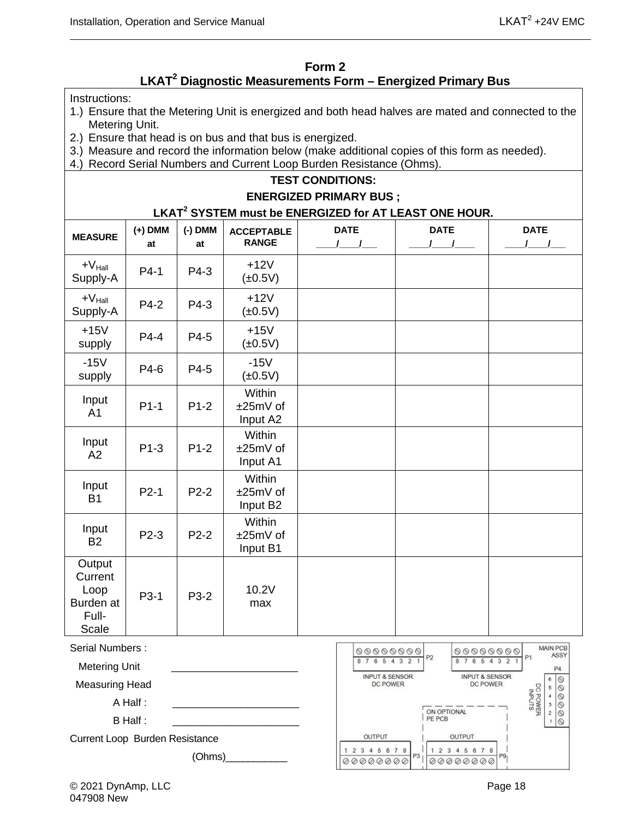#### **Form 2 LKAT2 Diagnostic Measurements Form – Energized Primary Bus**

<span id="page-31-0"></span>Instructions:

- 1.) Ensure that the Metering Unit is energized and both head halves are mated and connected to the Metering Unit.
- 2.) Ensure that head is on bus and that bus is energized.
- 3.) Measure and record the information below (make additional copies of this form as needed).
- 4.) Record Serial Numbers and Current Loop Burden Resistance (Ohms).

#### **TEST CONDITIONS:**

#### **ENERGIZED PRIMARY BUS ;**

**LKAT<sup>2</sup> SYSTEM must be ENERGIZED for AT LEAST ONE HOUR.**

| <b>MEASURE</b>                                           | $(+)$ DMM<br>at | $(-)$ DMM<br>at | <b>ACCEPTABLE</b><br><b>RANGE</b> | <b>DATE</b> | <b>DATE</b> | <b>DATE</b> |
|----------------------------------------------------------|-----------------|-----------------|-----------------------------------|-------------|-------------|-------------|
| $+V_{\text{Hall}}$<br>Supply-A                           | $P4-1$          | P4-3            | $+12V$<br>$(\pm 0.5V)$            |             |             |             |
| $+V_{\text{Hall}}$<br>Supply-A                           | P4-2            | P4-3            | $+12V$<br>$(\pm 0.5V)$            |             |             |             |
| $+15V$<br>supply                                         | $P4-4$          | P4-5            | $+15V$<br>$(\pm 0.5V)$            |             |             |             |
| $-15V$<br>supply                                         | P4-6            | P4-5            | $-15V$<br>$(\pm 0.5V)$            |             |             |             |
| Input<br>A <sub>1</sub>                                  | $P1-1$          | $P1-2$          | Within<br>±25mV of<br>Input A2    |             |             |             |
| Input<br>A2                                              | $P1-3$          | $P1-2$          | Within<br>±25mV of<br>Input A1    |             |             |             |
| Input<br><b>B1</b>                                       | $P2-1$          | $P2-2$          | Within<br>±25mV of<br>Input B2    |             |             |             |
| Input<br><b>B2</b>                                       | P2-3            | P2-2            | Within<br>±25mV of<br>Input B1    |             |             |             |
| Output<br>Current<br>Loop<br>Burden at<br>Full-<br>Scale | P3-1            | P3-2            | 10.2V<br>max                      |             |             |             |

Serial Numbers :

Metering Unit

Measuring Head

A Half  $\cdot$ 

B Half :

Current Loop Burden Resistance

 $(Ohms)$ 

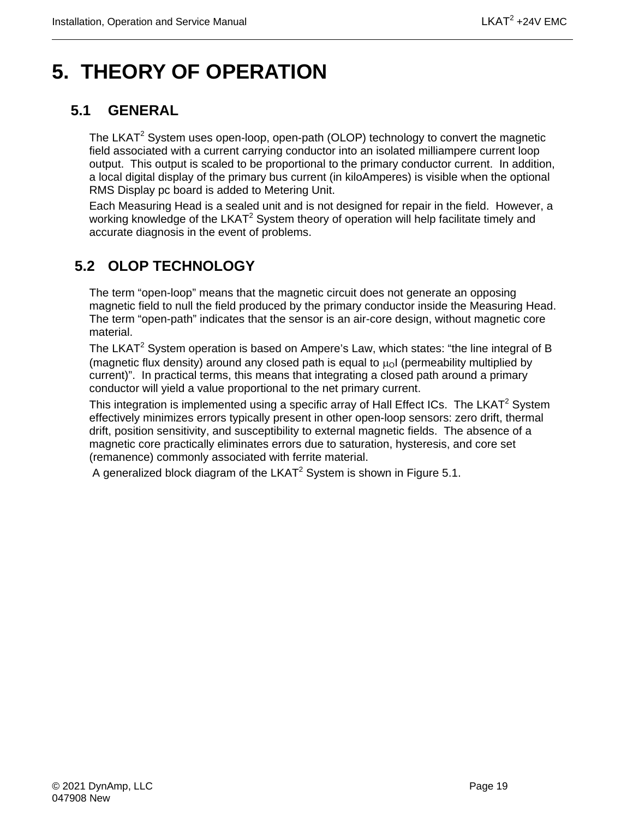## <span id="page-32-0"></span>**5. THEORY OF OPERATION**

## <span id="page-32-1"></span>**5.1 GENERAL**

The LKAT<sup>2</sup> System uses open-loop, open-path (OLOP) technology to convert the magnetic field associated with a current carrying conductor into an isolated milliampere current loop output. This output is scaled to be proportional to the primary conductor current. In addition, a local digital display of the primary bus current (in kiloAmperes) is visible when the optional RMS Display pc board is added to Metering Unit.

Each Measuring Head is a sealed unit and is not designed for repair in the field. However, a working knowledge of the LKAT<sup>2</sup> System theory of operation will help facilitate timely and accurate diagnosis in the event of problems.

## <span id="page-32-2"></span>**5.2 OLOP TECHNOLOGY**

The term "open-loop" means that the magnetic circuit does not generate an opposing magnetic field to null the field produced by the primary conductor inside the Measuring Head. The term "open-path" indicates that the sensor is an air-core design, without magnetic core material.

The LKAT<sup>2</sup> System operation is based on Ampere's Law, which states: "the line integral of B (magnetic flux density) around any closed path is equal to  $\mu_0$  (permeability multiplied by current)". In practical terms, this means that integrating a closed path around a primary conductor will yield a value proportional to the net primary current.

This integration is implemented using a specific array of Hall Effect ICs. The LKAT<sup>2</sup> System effectively minimizes errors typically present in other open-loop sensors: zero drift, thermal drift, position sensitivity, and susceptibility to external magnetic fields. The absence of a magnetic core practically eliminates errors due to saturation, hysteresis, and core set (remanence) commonly associated with ferrite material.

A generalized block diagram of the LKAT<sup>2</sup> System is shown in Figure 5.1.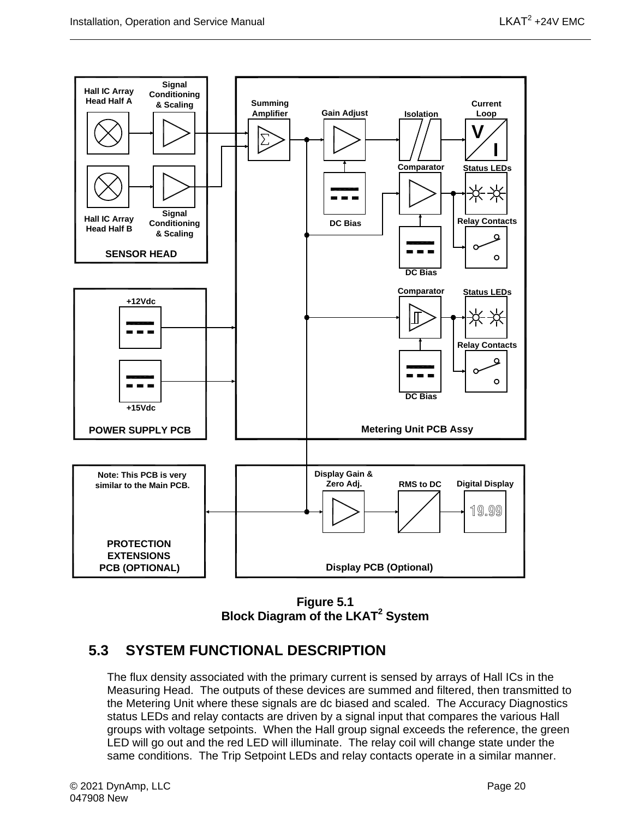

**Figure 5.1 Block Diagram of the LKAT2 System**

#### <span id="page-33-1"></span><span id="page-33-0"></span>**5.3 SYSTEM FUNCTIONAL DESCRIPTION**

The flux density associated with the primary current is sensed by arrays of Hall ICs in the Measuring Head. The outputs of these devices are summed and filtered, then transmitted to the Metering Unit where these signals are dc biased and scaled. The Accuracy Diagnostics status LEDs and relay contacts are driven by a signal input that compares the various Hall groups with voltage setpoints. When the Hall group signal exceeds the reference, the green LED will go out and the red LED will illuminate. The relay coil will change state under the same conditions. The Trip Setpoint LEDs and relay contacts operate in a similar manner.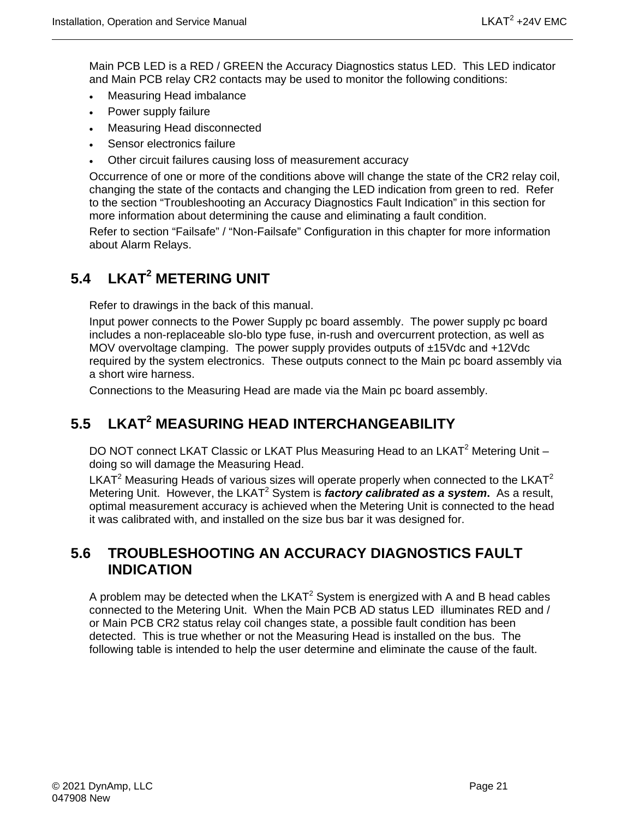Main PCB LED is a RED / GREEN the Accuracy Diagnostics status LED. This LED indicator and Main PCB relay CR2 contacts may be used to monitor the following conditions:

- Measuring Head imbalance
- Power supply failure
- Measuring Head disconnected
- Sensor electronics failure
- Other circuit failures causing loss of measurement accuracy

Occurrence of one or more of the conditions above will change the state of the CR2 relay coil, changing the state of the contacts and changing the LED indication from green to red. Refer to the section "Troubleshooting an Accuracy Diagnostics Fault Indication" in this section for more information about determining the cause and eliminating a fault condition.

Refer to section "Failsafe" / "Non-Failsafe" Configuration in this chapter for more information about Alarm Relays.

## <span id="page-34-0"></span>**5.4 LKAT2 METERING UNIT**

Refer to drawings in the back of this manual.

Input power connects to the Power Supply pc board assembly. The power supply pc board includes a non-replaceable slo-blo type fuse, in-rush and overcurrent protection, as well as MOV overvoltage clamping. The power supply provides outputs of  $\pm$ 15Vdc and  $+12$ Vdc required by the system electronics. These outputs connect to the Main pc board assembly via a short wire harness.

Connections to the Measuring Head are made via the Main pc board assembly.

## <span id="page-34-1"></span>**5.5 LKAT2 MEASURING HEAD INTERCHANGEABILITY**

DO NOT connect LKAT Classic or LKAT Plus Measuring Head to an LKAT<sup>2</sup> Metering Unit doing so will damage the Measuring Head.

LKAT<sup>2</sup> Measuring Heads of various sizes will operate properly when connected to the LKAT<sup>2</sup> Metering Unit. However, the LKAT<sup>2</sup> System is *factory calibrated as a system*. As a result, optimal measurement accuracy is achieved when the Metering Unit is connected to the head it was calibrated with, and installed on the size bus bar it was designed for.

#### <span id="page-34-2"></span>**5.6 TROUBLESHOOTING AN ACCURACY DIAGNOSTICS FAULT INDICATION**

A problem may be detected when the  $LKAT^2$  System is energized with A and B head cables connected to the Metering Unit. When the Main PCB AD status LED illuminates RED and / or Main PCB CR2 status relay coil changes state, a possible fault condition has been detected. This is true whether or not the Measuring Head is installed on the bus. The following table is intended to help the user determine and eliminate the cause of the fault.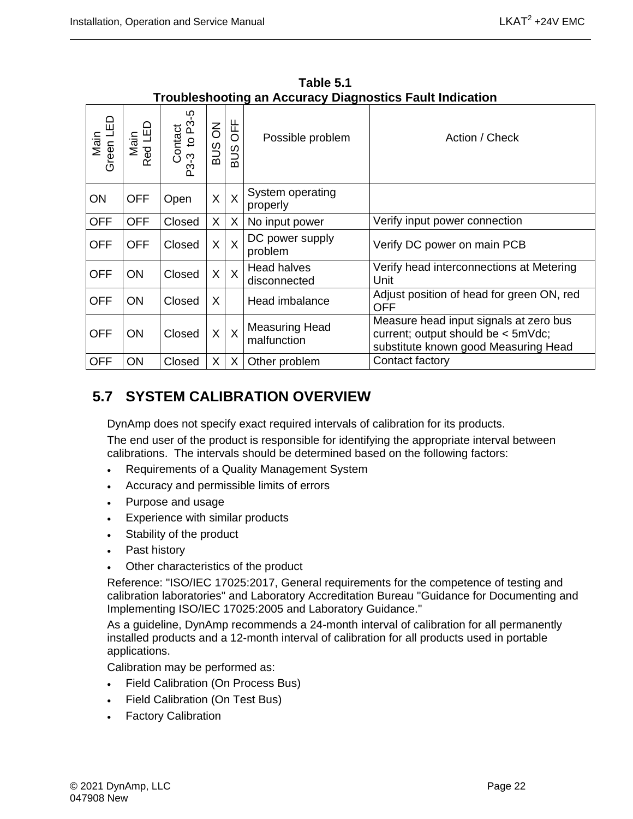<span id="page-35-1"></span>

| Green LED<br>Main | Main<br>Red LED | Contact<br>-3 to P3-5<br>ကု<br>ဣ | $\overline{6}$<br><b>BUS</b> | OFF<br>SUS | Possible problem                     | Action / Check                                                                                                       |
|-------------------|-----------------|----------------------------------|------------------------------|------------|--------------------------------------|----------------------------------------------------------------------------------------------------------------------|
| ON                | <b>OFF</b>      | Open                             | X                            | $\sf X$    | System operating<br>properly         |                                                                                                                      |
| <b>OFF</b>        | <b>OFF</b>      | Closed                           | X                            | X          | No input power                       | Verify input power connection                                                                                        |
| <b>OFF</b>        | <b>OFF</b>      | Closed                           | X                            | $\sf X$    | DC power supply<br>problem           | Verify DC power on main PCB                                                                                          |
| <b>OFF</b>        | <b>ON</b>       | Closed                           | X                            | $\times$   | <b>Head halves</b><br>disconnected   | Verify head interconnections at Metering<br>Unit                                                                     |
| <b>OFF</b>        | ΟN              | Closed                           | X                            |            | Head imbalance                       | Adjust position of head for green ON, red<br><b>OFF</b>                                                              |
| <b>OFF</b>        | <b>ON</b>       | Closed                           | X                            | $\sf X$    | <b>Measuring Head</b><br>malfunction | Measure head input signals at zero bus<br>current; output should be < 5mVdc;<br>substitute known good Measuring Head |
| <b>OFF</b>        | ON              | Closed                           | X.                           | X          | Other problem                        | Contact factory                                                                                                      |

**Table 5.1 Troubleshooting an Accuracy Diagnostics Fault Indication** 

## <span id="page-35-0"></span>**5.7 SYSTEM CALIBRATION OVERVIEW**

DynAmp does not specify exact required intervals of calibration for its products. The end user of the product is responsible for identifying the appropriate interval between calibrations. The intervals should be determined based on the following factors:

- Requirements of a Quality Management System
- Accuracy and permissible limits of errors
- Purpose and usage
- Experience with similar products
- Stability of the product
- Past history
- Other characteristics of the product

Reference: "ISO/IEC 17025:2017, General requirements for the competence of testing and calibration laboratories" and Laboratory Accreditation Bureau "Guidance for Documenting and Implementing ISO/IEC 17025:2005 and Laboratory Guidance."

As a guideline, DynAmp recommends a 24-month interval of calibration for all permanently installed products and a 12-month interval of calibration for all products used in portable applications.

Calibration may be performed as:

- Field Calibration (On Process Bus)
- Field Calibration (On Test Bus)
- **Factory Calibration**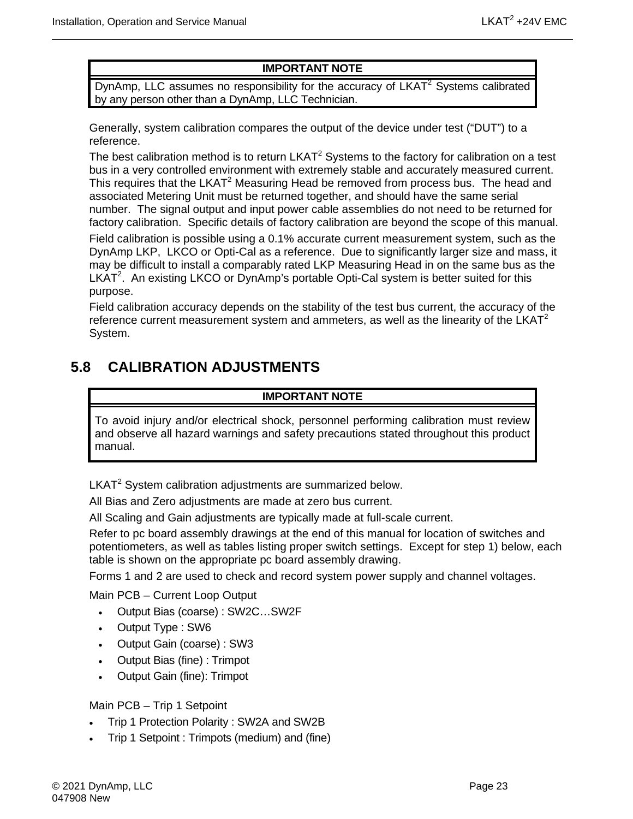#### **IMPORTANT NOTE**

DynAmp, LLC assumes no responsibility for the accuracy of  $LKAT<sup>2</sup>$  Systems calibrated by any person other than a DynAmp, LLC Technician.

Generally, system calibration compares the output of the device under test ("DUT") to a reference.

The best calibration method is to return  $LKAT<sup>2</sup>$  Systems to the factory for calibration on a test bus in a very controlled environment with extremely stable and accurately measured current. This requires that the LKAT<sup>2</sup> Measuring Head be removed from process bus. The head and associated Metering Unit must be returned together, and should have the same serial number. The signal output and input power cable assemblies do not need to be returned for factory calibration. Specific details of factory calibration are beyond the scope of this manual.

Field calibration is possible using a 0.1% accurate current measurement system, such as the DynAmp LKP, LKCO or Opti-Cal as a reference. Due to significantly larger size and mass, it may be difficult to install a comparably rated LKP Measuring Head in on the same bus as the LKAT<sup>2</sup>. An existing LKCO or DynAmp's portable Opti-Cal system is better suited for this purpose.

Field calibration accuracy depends on the stability of the test bus current, the accuracy of the reference current measurement system and ammeters, as well as the linearity of the LKAT<sup>2</sup> System.

### <span id="page-36-0"></span>**5.8 CALIBRATION ADJUSTMENTS**

#### **IMPORTANT NOTE**

To avoid injury and/or electrical shock, personnel performing calibration must review and observe all hazard warnings and safety precautions stated throughout this product manual.

LKAT<sup>2</sup> System calibration adjustments are summarized below.

All Bias and Zero adjustments are made at zero bus current.

All Scaling and Gain adjustments are typically made at full-scale current.

Refer to pc board assembly drawings at the end of this manual for location of switches and potentiometers, as well as tables listing proper switch settings. Except for step 1) below, each table is shown on the appropriate pc board assembly drawing.

Forms 1 and 2 are used to check and record system power supply and channel voltages.

Main PCB – Current Loop Output

- Output Bias (coarse) : SW2C…SW2F
- Output Type : SW6
- Output Gain (coarse) : SW3
- Output Bias (fine) : Trimpot
- Output Gain (fine): Trimpot

#### Main PCB – Trip 1 Setpoint

- Trip 1 Protection Polarity : SW2A and SW2B
- Trip 1 Setpoint : Trimpots (medium) and (fine)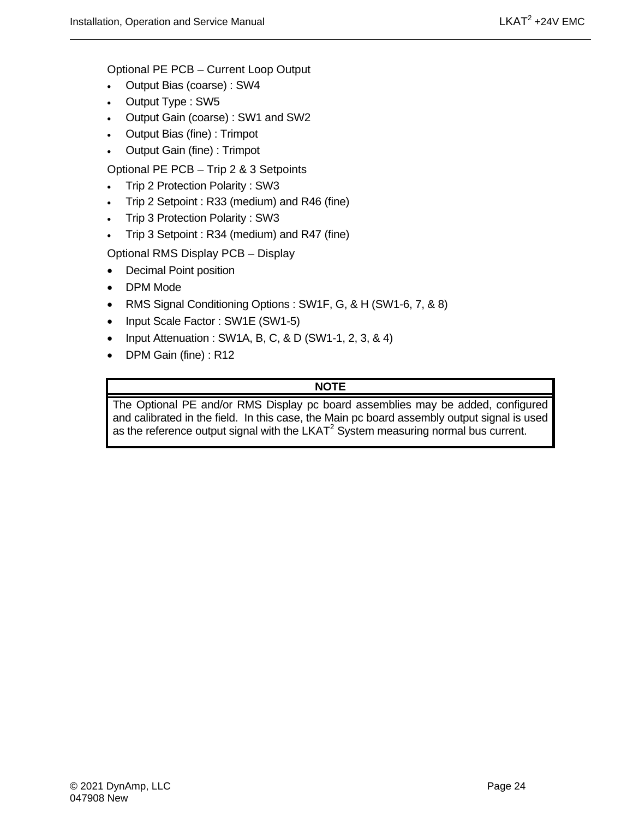Optional PE PCB – Current Loop Output

- Output Bias (coarse) : SW4
- Output Type : SW5
- Output Gain (coarse) : SW1 and SW2
- Output Bias (fine) : Trimpot
- Output Gain (fine) : Trimpot

Optional PE PCB – Trip 2 & 3 Setpoints

- Trip 2 Protection Polarity : SW3
- Trip 2 Setpoint : R33 (medium) and R46 (fine)
- Trip 3 Protection Polarity : SW3
- Trip 3 Setpoint : R34 (medium) and R47 (fine)

Optional RMS Display PCB – Display

- Decimal Point position
- DPM Mode
- RMS Signal Conditioning Options : SW1F, G, & H (SW1-6, 7, & 8)
- Input Scale Factor: SW1E (SW1-5)
- Input Attenuation : SW1A, B, C, & D (SW1-1, 2, 3, & 4)
- DPM Gain (fine) : R12

#### **NOTE**

The Optional PE and/or RMS Display pc board assemblies may be added, configured and calibrated in the field. In this case, the Main pc board assembly output signal is used as the reference output signal with the  $LKAT<sup>2</sup>$  System measuring normal bus current.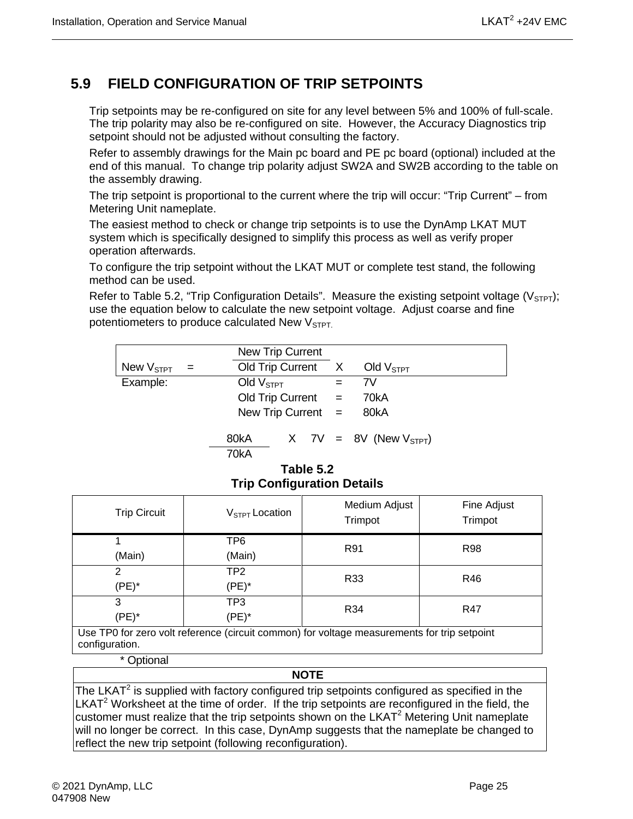## <span id="page-38-0"></span>**5.9 FIELD CONFIGURATION OF TRIP SETPOINTS**

Trip setpoints may be re-configured on site for any level between 5% and 100% of full-scale. The trip polarity may also be re-configured on site. However, the Accuracy Diagnostics trip setpoint should not be adjusted without consulting the factory.

Refer to assembly drawings for the Main pc board and PE pc board (optional) included at the end of this manual. To change trip polarity adjust SW2A and SW2B according to the table on the assembly drawing.

The trip setpoint is proportional to the current where the trip will occur: "Trip Current" – from Metering Unit nameplate.

The easiest method to check or change trip setpoints is to use the DynAmp LKAT MUT system which is specifically designed to simplify this process as well as verify proper operation afterwards.

To configure the trip setpoint without the LKAT MUT or complete test stand, the following method can be used.

Refer to Table 5.2, "Trip Configuration Details". Measure the existing setpoint voltage ( $V_{\text{STP}}$ ); use the equation below to calculate the new setpoint voltage. Adjust coarse and fine potentiometers to produce calculated New  $V<sub>STPT</sub>$ .

|                                 |     | New Trip Current     |  |                             |  |
|---------------------------------|-----|----------------------|--|-----------------------------|--|
| New $V_{\footnotesize\rm STPT}$ | $=$ | Old Trip Current X   |  | Old $V_{\tt STPT}$          |  |
| Example:                        |     | Old $VSTPT$          |  | 7V                          |  |
|                                 |     | Old Trip Current $=$ |  | 70kA                        |  |
|                                 |     | New Trip Current $=$ |  | 80kA                        |  |
|                                 |     | 80kA<br>70kA         |  | X 7V = 8V (New $V_{STPT}$ ) |  |

#### **Table 5.2 Trip Configuration Details**

<span id="page-38-1"></span>

| <b>Trip Circuit</b>                                                                                           | $V_{STPT}$ Location | Medium Adjust<br>Trimpot | Fine Adjust<br>Trimpot |  |
|---------------------------------------------------------------------------------------------------------------|---------------------|--------------------------|------------------------|--|
|                                                                                                               | TP6                 | R91                      | R98                    |  |
| (Main)                                                                                                        | (Main)              |                          |                        |  |
| 2                                                                                                             | TP2                 | R33                      | R46                    |  |
| (PE)*                                                                                                         | (PE)*               |                          |                        |  |
| 3                                                                                                             | TP3                 | R34                      | R47                    |  |
| $(PE)^*$                                                                                                      | $(PE)^*$            |                          |                        |  |
| Use TP0 for zero volt reference (circuit common) for voltage measurements for trip setpoint<br>configuration. |                     |                          |                        |  |

\* Optional

#### **NOTE**

The LKAT $2$  is supplied with factory configured trip setpoints configured as specified in the  $LKAT<sup>2</sup>$  Worksheet at the time of order. If the trip setpoints are reconfigured in the field, the customer must realize that the trip setpoints shown on the LKAT $2$  Metering Unit nameplate will no longer be correct. In this case, DynAmp suggests that the nameplate be changed to reflect the new trip setpoint (following reconfiguration).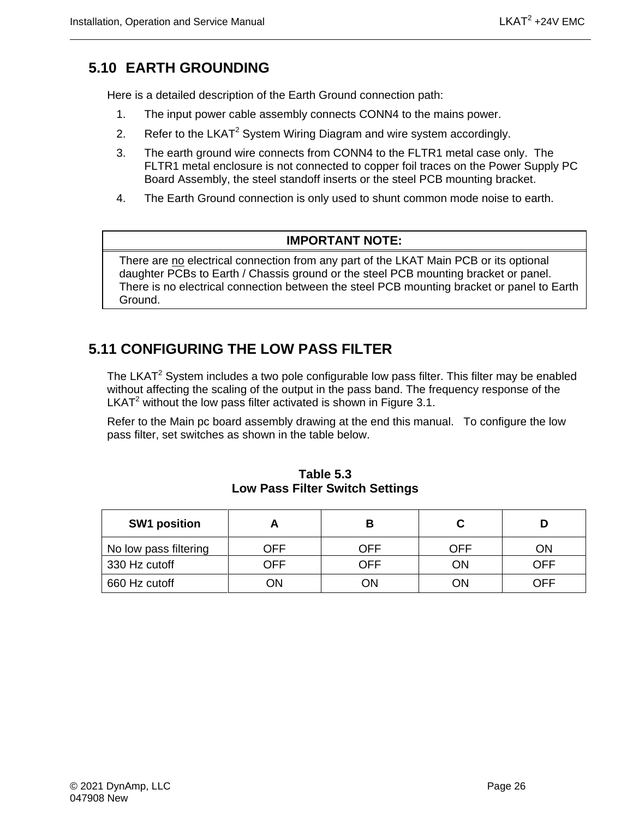## <span id="page-39-0"></span>**5.10 EARTH GROUNDING**

Here is a detailed description of the Earth Ground connection path:

- 1. The input power cable assembly connects CONN4 to the mains power.
- 2. Refer to the LKAT<sup>2</sup> System Wiring Diagram and wire system accordingly.
- 3. The earth ground wire connects from CONN4 to the FLTR1 metal case only. The FLTR1 metal enclosure is not connected to copper foil traces on the Power Supply PC Board Assembly, the steel standoff inserts or the steel PCB mounting bracket.
- 4. The Earth Ground connection is only used to shunt common mode noise to earth.

#### **IMPORTANT NOTE:**

There are no electrical connection from any part of the LKAT Main PCB or its optional daughter PCBs to Earth / Chassis ground or the steel PCB mounting bracket or panel. There is no electrical connection between the steel PCB mounting bracket or panel to Earth Ground.

#### <span id="page-39-1"></span>**5.11 CONFIGURING THE LOW PASS FILTER**

The LKAT<sup>2</sup> System includes a two pole configurable low pass filter. This filter may be enabled without affecting the scaling of the output in the pass band. The frequency response of the LKAT<sup>2</sup> without the low pass filter activated is shown in Figure 3.1.

Refer to the Main pc board assembly drawing at the end this manual. To configure the low pass filter, set switches as shown in the table below.

<span id="page-39-2"></span>

| <b>SW1 position</b>   |     |     |     |     |
|-----------------------|-----|-----|-----|-----|
| No low pass filtering | OFF | OFF | OFF | ΟN  |
| 330 Hz cutoff         | OFF | OFF | ΟN  | OFF |
| 660 Hz cutoff         | ΟN  | ЭN  | ОN  | OFF |

**Table 5.3 Low Pass Filter Switch Settings**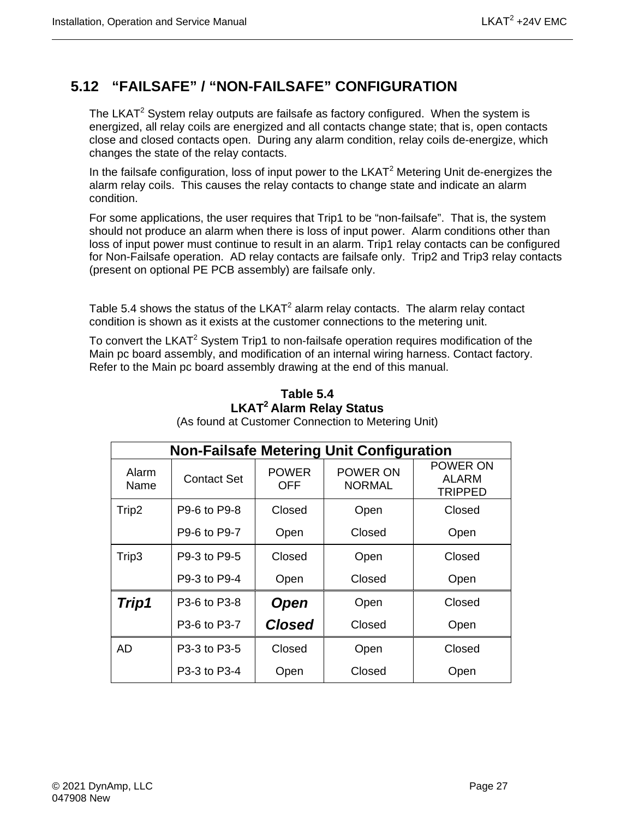## <span id="page-40-0"></span>**5.12 "FAILSAFE" / "NON-FAILSAFE" CONFIGURATION**

The LKAT<sup>2</sup> System relay outputs are failsafe as factory configured. When the system is energized, all relay coils are energized and all contacts change state; that is, open contacts close and closed contacts open. During any alarm condition, relay coils de-energize, which changes the state of the relay contacts.

In the failsafe configuration, loss of input power to the  $LKAT<sup>2</sup>$  Metering Unit de-energizes the alarm relay coils. This causes the relay contacts to change state and indicate an alarm condition.

For some applications, the user requires that Trip1 to be "non-failsafe". That is, the system should not produce an alarm when there is loss of input power. Alarm conditions other than loss of input power must continue to result in an alarm. Trip1 relay contacts can be configured for Non-Failsafe operation. AD relay contacts are failsafe only. Trip2 and Trip3 relay contacts (present on optional PE PCB assembly) are failsafe only.

Table 5.4 shows the status of the  $LKAT^2$  alarm relay contacts. The alarm relay contact condition is shown as it exists at the customer connections to the metering unit.

<span id="page-40-1"></span>To convert the LKAT<sup>2</sup> System Trip1 to non-failsafe operation requires modification of the Main pc board assembly, and modification of an internal wiring harness. Contact factory. Refer to the Main pc board assembly drawing at the end of this manual.

| <b>Non-Failsafe Metering Unit Configuration</b> |              |                     |                           |                              |  |  |
|-------------------------------------------------|--------------|---------------------|---------------------------|------------------------------|--|--|
| Alarm<br>Name                                   | Contact Set  | <b>POWER</b><br>OFF | POWER ON<br><b>NORMAL</b> | POWER ON<br>ALARM<br>TRIPPED |  |  |
| Trip2                                           | P9-6 to P9-8 | Closed              | Open                      | Closed                       |  |  |
|                                                 | P9-6 to P9-7 | Open                | Closed                    | Open                         |  |  |
| Trip3                                           | P9-3 to P9-5 | Closed              | Open                      | Closed                       |  |  |
|                                                 | P9-3 to P9-4 | Open                | Closed                    | Open                         |  |  |
| Trip1                                           | P3-6 to P3-8 | <b>Open</b>         | Open                      | Closed                       |  |  |
|                                                 | P3-6 to P3-7 | <b>Closed</b>       | Closed                    | Open                         |  |  |
| AD                                              | P3-3 to P3-5 | Closed              | Open                      | Closed                       |  |  |
|                                                 | P3-3 to P3-4 | Open                | Closed                    | Open                         |  |  |

#### **Table 5.4 LKAT2 Alarm Relay Status**

| Alarm<br>Name | <b>Contact Set</b> | <b>POWER</b><br>OFF | <b>POWER ON</b><br>NORMAL | POWER ON<br>ALARM<br><b>TRIPPED</b> |  |
|---------------|--------------------|---------------------|---------------------------|-------------------------------------|--|
| Trip2         | P9-6 to P9-8       | Closed              | Open                      | Closed                              |  |
|               | P9-6 to P9-7       | Open                | Closed                    | Open                                |  |
| Trip3         | P9-3 to P9-5       | Closed              | Open                      | Closed                              |  |
|               | P9-3 to P9-4       | Open                | Closed                    | Open                                |  |
| Trip1         | P3-6 to P3-8       | <b>Open</b>         | Open                      | Closed                              |  |
|               | P3-6 to P3-7       | <b>Closed</b>       | Closed                    | Open                                |  |
| AD            | P3-3 to P3-5       | Closed              | Open                      | Closed                              |  |
|               | P3-3 to P3-4       | Open                | Closed                    | Open                                |  |
|               |                    |                     |                           |                                     |  |

(As found at Customer Connection to Metering Unit)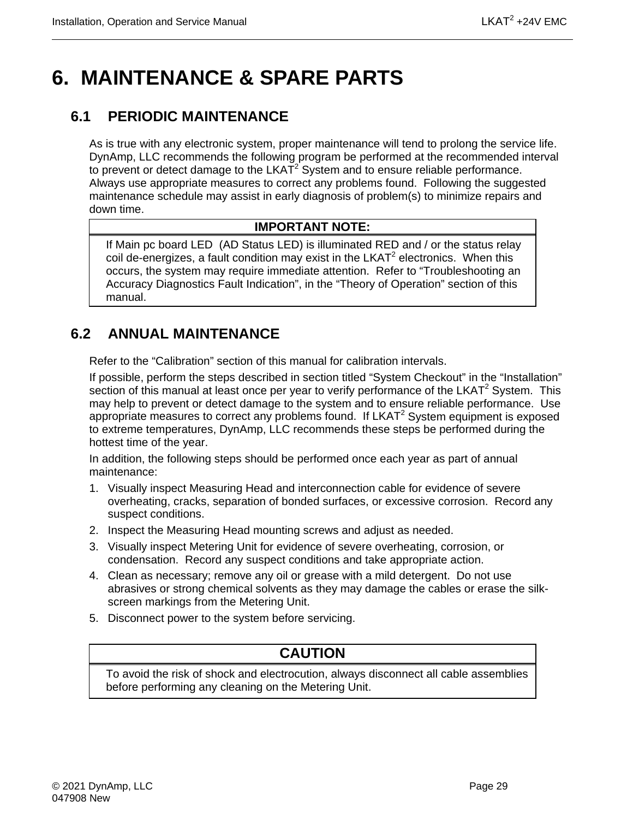## <span id="page-42-0"></span>**6. MAINTENANCE & SPARE PARTS**

### <span id="page-42-1"></span>**6.1 PERIODIC MAINTENANCE**

As is true with any electronic system, proper maintenance will tend to prolong the service life. DynAmp, LLC recommends the following program be performed at the recommended interval to prevent or detect damage to the  $LKAT<sup>2</sup>$  System and to ensure reliable performance. Always use appropriate measures to correct any problems found. Following the suggested maintenance schedule may assist in early diagnosis of problem(s) to minimize repairs and down time.

#### **IMPORTANT NOTE:**

If Main pc board LED (AD Status LED) is illuminated RED and / or the status relay coil de-energizes, a fault condition may exist in the  $LKAT<sup>2</sup>$  electronics. When this occurs, the system may require immediate attention. Refer to "Troubleshooting an Accuracy Diagnostics Fault Indication", in the "Theory of Operation" section of this manual.

## <span id="page-42-2"></span>**6.2 ANNUAL MAINTENANCE**

Refer to the "Calibration" section of this manual for calibration intervals.

If possible, perform the steps described in section titled "System Checkout" in the "Installation" section of this manual at least once per year to verify performance of the  $LKAT^2$  System. This may help to prevent or detect damage to the system and to ensure reliable performance. Use appropriate measures to correct any problems found. If  $LKAT<sup>2</sup>$  System equipment is exposed to extreme temperatures, DynAmp, LLC recommends these steps be performed during the hottest time of the year.

In addition, the following steps should be performed once each year as part of annual maintenance:

- 1. Visually inspect Measuring Head and interconnection cable for evidence of severe overheating, cracks, separation of bonded surfaces, or excessive corrosion. Record any suspect conditions.
- 2. Inspect the Measuring Head mounting screws and adjust as needed.
- 3. Visually inspect Metering Unit for evidence of severe overheating, corrosion, or condensation. Record any suspect conditions and take appropriate action.
- 4. Clean as necessary; remove any oil or grease with a mild detergent. Do not use abrasives or strong chemical solvents as they may damage the cables or erase the silkscreen markings from the Metering Unit.
- 5. Disconnect power to the system before servicing.

### **CAUTION**

To avoid the risk of shock and electrocution, always disconnect all cable assemblies before performing any cleaning on the Metering Unit.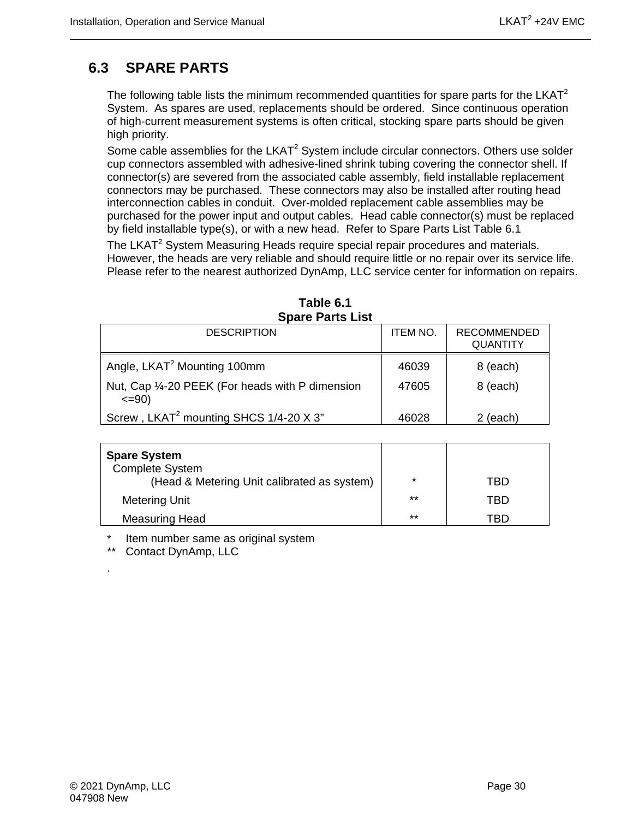### <span id="page-43-0"></span>**6.3 SPARE PARTS**

The following table lists the minimum recommended quantities for spare parts for the  $LKAT<sup>2</sup>$ System. As spares are used, replacements should be ordered. Since continuous operation of high-current measurement systems is often critical, stocking spare parts should be given high priority.

Some cable assemblies for the LKAT $2$  System include circular connectors. Others use solder cup connectors assembled with adhesive-lined shrink tubing covering the connector shell. If connector(s) are severed from the associated cable assembly, field installable replacement connectors may be purchased. These connectors may also be installed after routing head interconnection cables in conduit. Over-molded replacement cable assemblies may be purchased for the power input and output cables. Head cable connector(s) must be replaced by field installable type(s), or with a new head. Refer to Spare Parts List Table 6.1

The LKAT<sup>2</sup> System Measuring Heads require special repair procedures and materials. However, the heads are very reliable and should require little or no repair over its service life. Please refer to the nearest authorized DynAmp, LLC service center for information on repairs.

<span id="page-43-1"></span>

| ODAIG FAILS LISL                                                |                 |                                       |  |  |  |
|-----------------------------------------------------------------|-----------------|---------------------------------------|--|--|--|
| <b>DESCRIPTION</b>                                              | <b>ITEM NO.</b> | <b>RECOMMENDED</b><br><b>QUANTITY</b> |  |  |  |
| Angle, LKAT <sup>2</sup> Mounting 100mm                         | 46039           | 8 (each)                              |  |  |  |
| Nut, Cap 1/4-20 PEEK (For heads with P dimension<br>$\leq$ =90) | 47605           | 8 (each)                              |  |  |  |
| Screw, LKAT <sup>2</sup> mounting SHCS 1/4-20 X 3"              | 46028           | $2$ (each)                            |  |  |  |

| Table 6.1               |  |  |  |  |  |
|-------------------------|--|--|--|--|--|
| <b>Spare Parts List</b> |  |  |  |  |  |

| <b>Spare System</b><br><b>Complete System</b><br>(Head & Metering Unit calibrated as system) | $\star$ | TRD |
|----------------------------------------------------------------------------------------------|---------|-----|
| <b>Metering Unit</b>                                                                         | $***$   | TRD |
| Measuring Head                                                                               | $***$   | TBD |

\* Item number same as original system<br>\*\* Contact DynAmp LLC

Contact DynAmp, LLC

.